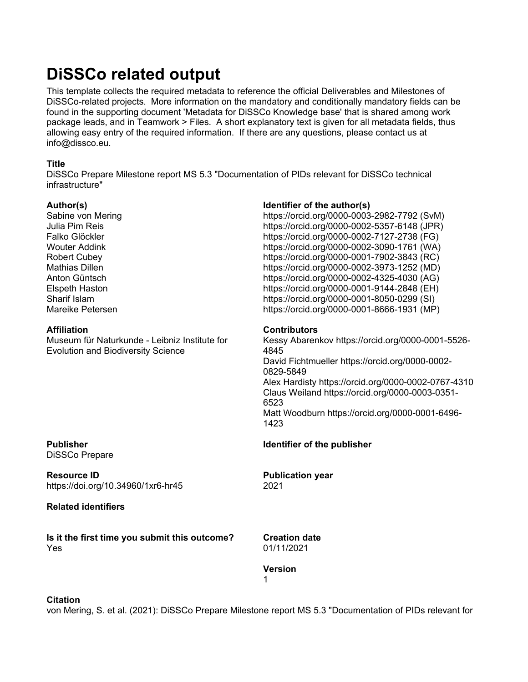# **DiSSCo related output**

This template collects the required metadata to reference the official Deliverables and Milestones of DiSSCo-related projects. More information on the mandatory and conditionally mandatory fields can be found in the supporting document 'Metadata for DiSSCo Knowledge base' that is shared among work package leads, and in Teamwork > Files. A short explanatory text is given for all metadata fields, thus allowing easy entry of the required information. If there are any questions, please contact us at info@dissco.eu.

#### **Title**

DiSSCo Prepare Milestone report MS 5.3 "Documentation of PIDs relevant for DiSSCo technical infrastructure"

#### **Author(s)**

Sabine von Mering Julia Pim Reis Falko Glöckler Wouter Addink Robert Cubey Mathias Dillen Anton Güntsch Elspeth Haston Sharif Islam Mareike Petersen

#### **Affiliation**

Museum für Naturkunde - Leibniz Institute for Evolution and Biodiversity Science

### **Publisher** DiSSCo Prepare

**Resource ID** https://doi.org/10.34960/1xr6-hr45

### **Related identifiers**

**Is it the first time you submit this outcome?** Yes

#### **Identifier of the author(s)**

https://orcid.org/0000-0003-2982-7792 (SvM) https://orcid.org/0000-0002-5357-6148 (JPR) https://orcid.org/0000-0002-7127-2738 (FG) https://orcid.org/0000-0002-3090-1761 (WA) https://orcid.org/0000-0001-7902-3843 (RC) https://orcid.org/0000-0002-3973-1252 (MD) https://orcid.org/0000-0002-4325-4030 (AG) https://orcid.org/0000-0001-9144-2848 (EH) https://orcid.org/0000-0001-8050-0299 (SI) https://orcid.org/0000-0001-8666-1931 (MP)

#### **Contributors**

Kessy Abarenkov https://orcid.org/0000-0001-5526- 4845 David Fichtmueller https://orcid.org/0000-0002- 0829-5849 Alex Hardisty https://orcid.org/0000-0002-0767-4310 Claus Weiland https://orcid.org/0000-0003-0351- 6523 Matt Woodburn https://orcid.org/0000-0001-6496- 1423

#### **Identifier of the publisher**

**Publication year** 2021

**Creation date** 01/11/2021

### **Version**

1

**Citation**

von Mering, S. et al. (2021): DiSSCo Prepare Milestone report MS 5.3 "Documentation of PIDs relevant for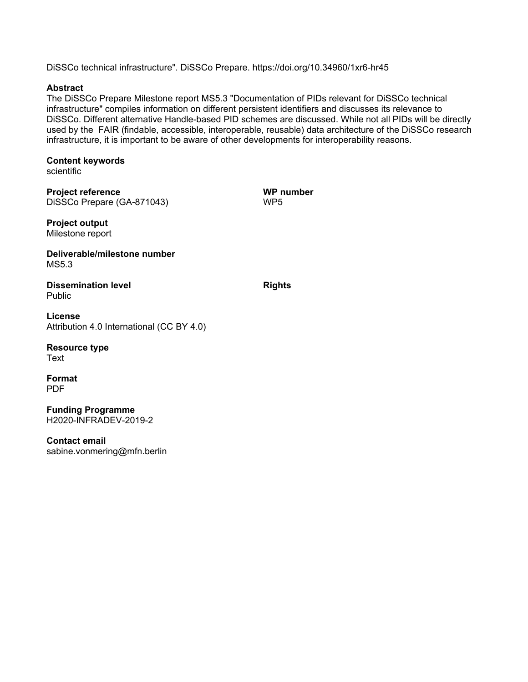DiSSCo technical infrastructure". DiSSCo Prepare. https://doi.org/10.34960/1xr6-hr45

#### **Abstract**

The DiSSCo Prepare Milestone report MS5.3 "Documentation of PIDs relevant for DiSSCo technical infrastructure" compiles information on different persistent identifiers and discusses its relevance to DiSSCo. Different alternative Handle-based PID schemes are discussed. While not all PIDs will be directly used by the FAIR (findable, accessible, interoperable, reusable) data architecture of the DiSSCo research infrastructure, it is important to be aware of other developments for interoperability reasons.

# **Content keywords**

scientific

**Project reference** DiSSCo Prepare (GA-871043) **WP number** WP5

**Project output** Milestone report

**Deliverable/milestone number** MS5.3

**Dissemination level** Public

**License** Attribution 4.0 International (CC BY 4.0)

**Resource type**

Text

**Format** PDF

**Funding Programme** H2020-INFRADEV-2019-2

**Contact email** sabine.vonmering@mfn.berlin **Rights**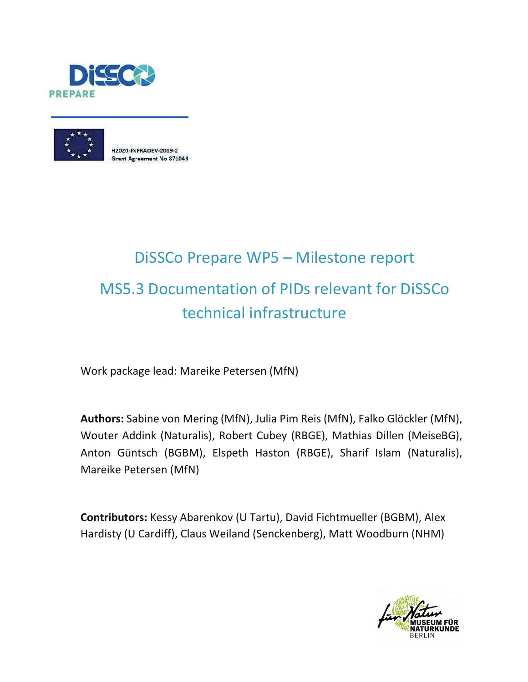



H2020-INFRADEV-2019-2 **Grant Agreement No 871043** 

# DiSSCo Prepare WP5 – Milestone report MS5.3 Documentation of PIDs relevant for DiSSCo technical infrastructure

Work package lead: Mareike Petersen (MfN)

**Authors:** Sabine von Mering (MfN), Julia Pim Reis (MfN), Falko Glöckler (MfN), Wouter Addink (Naturalis), Robert Cubey (RBGE), Mathias Dillen (MeiseBG), Anton Güntsch (BGBM), Elspeth Haston (RBGE), Sharif Islam (Naturalis), Mareike Petersen (MfN)

**Contributors:** Kessy Abarenkov (U Tartu), David Fichtmueller (BGBM), Alex Hardisty (U Cardiff), Claus Weiland (Senckenberg), Matt Woodburn (NHM)

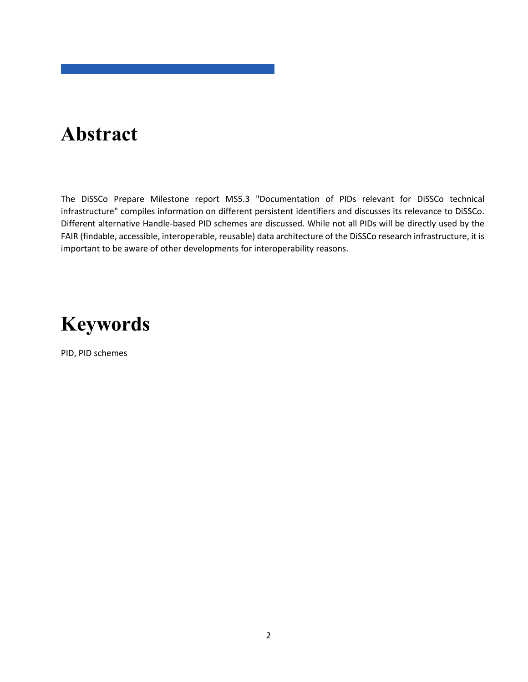# **Abstract**

The DiSSCo Prepare Milestone report MS5.3 "Documentation of PIDs relevant for DiSSCo technical infrastructure" compiles information on different persistent identifiers and discusses its relevance to DiSSCo. Different alternative Handle-based PID schemes are discussed. While not all PIDs will be directly used by the FAIR (findable, accessible, interoperable, reusable) data architecture of the DiSSCo research infrastructure, it is important to be aware of other developments for interoperability reasons.

# **Keywords**

PID, PID schemes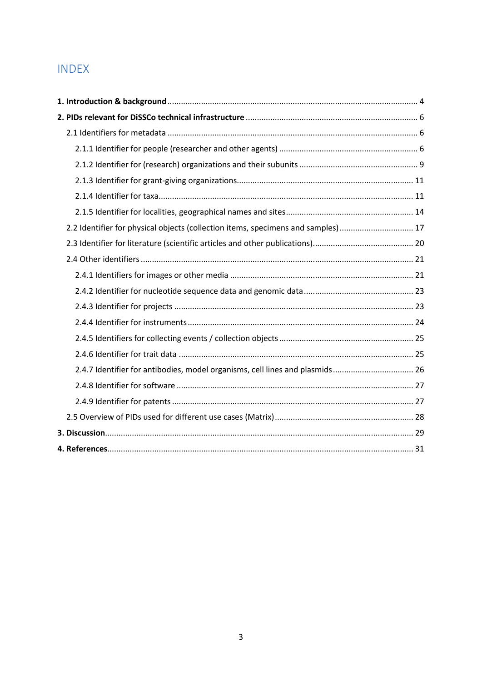# INDEX

| 2.2 Identifier for physical objects (collection items, specimens and samples)  17 |  |
|-----------------------------------------------------------------------------------|--|
|                                                                                   |  |
|                                                                                   |  |
|                                                                                   |  |
|                                                                                   |  |
|                                                                                   |  |
|                                                                                   |  |
|                                                                                   |  |
|                                                                                   |  |
| 2.4.7 Identifier for antibodies, model organisms, cell lines and plasmids 26      |  |
|                                                                                   |  |
|                                                                                   |  |
|                                                                                   |  |
|                                                                                   |  |
|                                                                                   |  |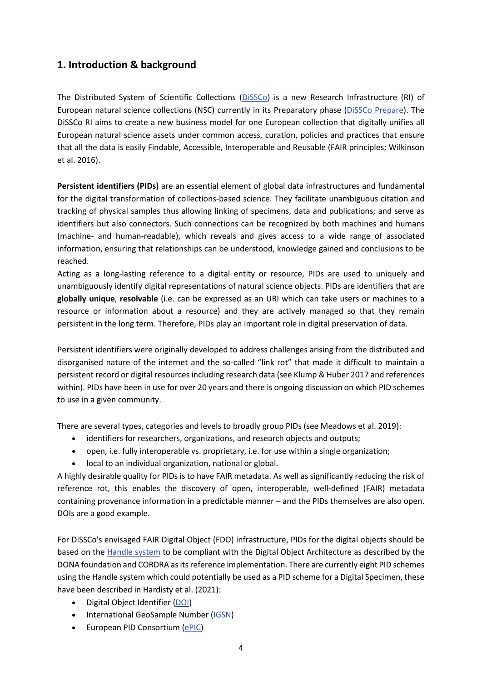## <span id="page-5-0"></span>**1. Introduction & background**

The Distributed System of Scientific Collections [\(DiSSCo\)](https://www.dissco.eu/) is a new Research Infrastructure (RI) of European natural science collections (NSC) currently in its Preparatory phase [\(DiSSCo Prepare\)](https://www.dissco.eu/dissco-prepare/). The DiSSCo RI aims to create a new business model for one European collection that digitally unifies all European natural science assets under common access, curation, policies and practices that ensure that all the data is easily Findable, Accessible, Interoperable and Reusable (FAIR principles; Wilkinson et al. 2016).

**Persistent identifiers (PIDs)** are an essential element of global data infrastructures and fundamental for the digital transformation of collections-based science. They facilitate unambiguous citation and tracking of physical samples thus allowing linking of specimens, data and publications; and serve as identifiers but also connectors. Such connections can be recognized by both machines and humans (machine- and human-readable), which reveals and gives access to a wide range of associated information, ensuring that relationships can be understood, knowledge gained and conclusions to be reached.

Acting as a long-lasting reference to a digital entity or resource, PIDs are used to uniquely and unambiguously identify digital representations of natural science objects. PIDs are identifiers that are **globally unique**, **resolvable** (i.e. can be expressed as an URI which can take users or machines to a resource or information about a resource) and they are actively managed so that they remain persistent in the long term. Therefore, PIDs play an important role in digital preservation of data.

Persistent identifiers were originally developed to address challenges arising from the distributed and disorganised nature of the internet and the so-called "link rot" that made it difficult to maintain a persistent record or digital resources including research data (see Klump & Huber 2017 and references within). PIDs have been in use for over 20 years and there is ongoing discussion on which PID schemes to use in a given community.

There are several types, categories and levels to broadly group PIDs (see Meadows et al. 2019):

- identifiers for researchers, organizations, and research objects and outputs;
- open, i.e. fully interoperable vs. proprietary, i.e. for use within a single organization;
- local to an individual organization, national or global.

A highly desirable quality for PIDs is to have FAIR metadata. As well as significantly reducing the risk of reference rot, this enables the discovery of open, interoperable, well-defined (FAIR) metadata containing provenance information in a predictable manner – and the PIDs themselves are also open. DOIs are a good example.

For DiSSCo's envisaged FAIR Digital Object (FDO) infrastructure, PIDs for the digital objects should be based on the [Handle system](https://know.dissco.eu/handle/item/254) to be compliant with the Digital Object Architecture as described by the DONA foundation and CORDRA as its reference implementation. There are currently eight PID schemes using the Handle system which could potentially be used as a PID scheme for a Digital Specimen, these have been described in Hardisty et al. (2021):

- Digital Object Identifier [\(DOI\)](https://www.doi.org/)
- International GeoSample Number [\(IGSN\)](https://www.igsn.org/)
- European PID Consortium [\(ePIC\)](https://www.pidconsortium.net/)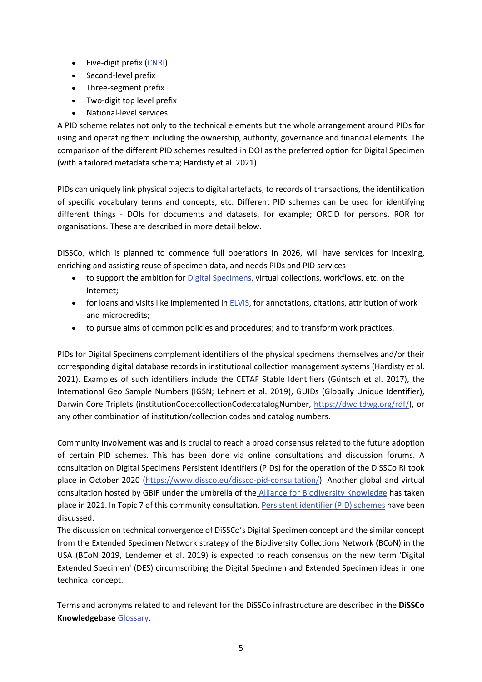- Five-digit prefix [\(CNRI\)](https://www.cnri.reston.va.us/)
- Second-level prefix
- Three-segment prefix
- Two-digit top level prefix
- National-level services

A PID scheme relates not only to the technical elements but the whole arrangement around PIDs for using and operating them including the ownership, authority, governance and financial elements. The comparison of the different PID schemes resulted in DOI as the preferred option for Digital Specimen (with a tailored metadata schema; Hardisty et al. 2021).

PIDs can uniquely link physical objects to digital artefacts, to records of transactions, the identification of specific vocabulary terms and concepts, etc. Different PID schemes can be used for identifying different things - DOIs for documents and datasets, for example; ORCiD for persons, ROR for organisations. These are described in more detail below.

DiSSCo, which is planned to commence full operations in 2026, will have services for indexing, enriching and assisting reuse of specimen data, and needs PIDs and PID services

- to support the ambition for **Digital Specimens**, virtual collections, workflows, etc. on the Internet;
- for loans and visits like implemented in  $ELViS$ , for annotations, citations, attribution of work and microcredits;
- to pursue aims of common policies and procedures; and to transform work practices.

PIDs for Digital Specimens complement identifiers of the physical specimens themselves and/or their corresponding digital database records in institutional collection management systems (Hardisty et al. 2021). Examples of such identifiers include the CETAF Stable Identifiers (Güntsch et al. 2017), the International Geo Sample Numbers (IGSN; Lehnert et al. 2019), GUIDs (Globally Unique Identifier), Darwin Core Triplets (institutionCode:collectionCode:catalogNumber, [https://dwc.tdwg.org/rdf/\)](https://dwc.tdwg.org/rdf/), or any other combination of institution/collection codes and catalog numbers.

Community involvement was and is crucial to reach a broad consensus related to the future adoption of certain PID schemes. This has been done via online consultations and discussion forums. A consultation on Digital Specimens Persistent Identifiers (PIDs) for the operation of the DiSSCo RI took place in October 2020 [\(https://www.dissco.eu/dissco-pid-consultation/\)](https://www.dissco.eu/dissco-pid-consultation/). Another global and virtual consultation hosted by GBIF under the umbrella of the [Alliance for Biodiversity Knowledge](https://www.allianceforbio.org/) has taken place in 2021. In Topic 7 of this community consultation, [Persistent identifier \(PID\) schemes](https://discourse.gbif.org/t/7-persistent-identifier-pid-schemes/2664) have been discussed.

The discussion on technical convergence of DiSSCo's Digital Specimen concept and the similar concept from the Extended Specimen Network strategy of the Biodiversity Collections Network (BCoN) in the USA (BCoN 2019, Lendemer et al. 2019) is expected to reach consensus on the new term 'Digital Extended Specimen' (DES) circumscribing the Digital Specimen and Extended Specimen ideas in one technical concept.

Terms and acronyms related to and relevant for the DiSSCo infrastructure are described in the **DiSSCo Knowledgebase** [Glossary.](https://know.dissco.eu/handle/item/137)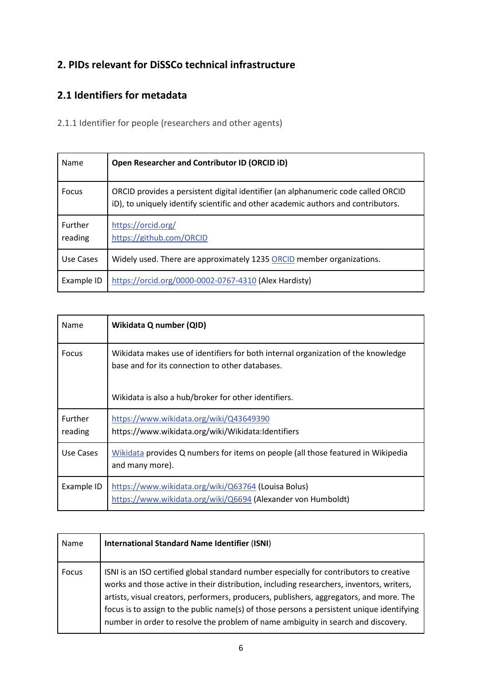# <span id="page-7-0"></span>**2. PIDs relevant for DiSSCo technical infrastructure**

# <span id="page-7-1"></span>**2.1 Identifiers for metadata**

<span id="page-7-2"></span>2.1.1 Identifier for people (researchers and other agents)

| Name               | Open Researcher and Contributor ID (ORCID ID)                                                                                                                          |
|--------------------|------------------------------------------------------------------------------------------------------------------------------------------------------------------------|
| Focus              | ORCID provides a persistent digital identifier (an alphanumeric code called ORCID<br>iD), to uniquely identify scientific and other academic authors and contributors. |
| Further<br>reading | https://orcid.org/<br>https://github.com/ORCID                                                                                                                         |
| Use Cases          | Widely used. There are approximately 1235 ORCID member organizations.                                                                                                  |
| Example ID         | https://orcid.org/0000-0002-0767-4310 (Alex Hardisty)                                                                                                                  |

| Name                      | Wikidata Q number (QID)                                                                                                                                                                      |
|---------------------------|----------------------------------------------------------------------------------------------------------------------------------------------------------------------------------------------|
| Focus                     | Wikidata makes use of identifiers for both internal organization of the knowledge<br>base and for its connection to other databases.<br>Wikidata is also a hub/broker for other identifiers. |
| <b>Further</b><br>reading | https://www.wikidata.org/wiki/Q43649390<br>https://www.wikidata.org/wiki/Wikidata:Identifiers                                                                                                |
| Use Cases                 | Wikidata provides Q numbers for items on people (all those featured in Wikipedia<br>and many more).                                                                                          |
| Example ID                | https://www.wikidata.org/wiki/Q63764 (Louisa Bolus)<br>https://www.wikidata.org/wiki/Q6694 (Alexander von Humboldt)                                                                          |

| Name  | <b>International Standard Name Identifier (ISNI)</b>                                                                                                                                                                                                                                                                                                                                                                                                             |
|-------|------------------------------------------------------------------------------------------------------------------------------------------------------------------------------------------------------------------------------------------------------------------------------------------------------------------------------------------------------------------------------------------------------------------------------------------------------------------|
| Focus | ISNI is an ISO certified global standard number especially for contributors to creative<br>works and those active in their distribution, including researchers, inventors, writers,<br>artists, visual creators, performers, producers, publishers, aggregators, and more. The<br>focus is to assign to the public name(s) of those persons a persistent unique identifying<br>number in order to resolve the problem of name ambiguity in search and discovery. |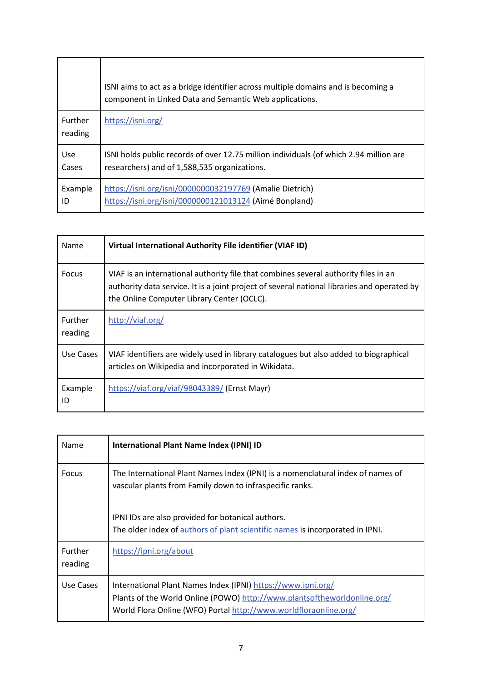|                           | ISNI aims to act as a bridge identifier across multiple domains and is becoming a<br>component in Linked Data and Semantic Web applications. |
|---------------------------|----------------------------------------------------------------------------------------------------------------------------------------------|
| <b>Further</b><br>reading | https://isni.org/                                                                                                                            |
| Use                       | ISNI holds public records of over 12.75 million individuals (of which 2.94 million are                                                       |
| Cases                     | researchers) and of 1,588,535 organizations.                                                                                                 |
| Example                   | https://isni.org/isni/0000000032197769 (Amalie Dietrich)                                                                                     |
| ID                        | https://isni.org/isni/0000000121013124 (Aimé Bonpland)                                                                                       |

| Name                      | Virtual International Authority File identifier (VIAF ID)                                                                                                                                                                        |
|---------------------------|----------------------------------------------------------------------------------------------------------------------------------------------------------------------------------------------------------------------------------|
| Focus                     | VIAF is an international authority file that combines several authority files in an<br>authority data service. It is a joint project of several national libraries and operated by<br>the Online Computer Library Center (OCLC). |
| <b>Further</b><br>reading | http://viaf.org/                                                                                                                                                                                                                 |
| Use Cases                 | VIAF identifiers are widely used in library catalogues but also added to biographical<br>articles on Wikipedia and incorporated in Wikidata.                                                                                     |
| Example<br>ID             | https://viaf.org/viaf/98043389/ (Ernst Mayr)                                                                                                                                                                                     |

| Name                      | International Plant Name Index (IPNI) ID                                                                                                                                                                     |
|---------------------------|--------------------------------------------------------------------------------------------------------------------------------------------------------------------------------------------------------------|
| Focus                     | The International Plant Names Index (IPNI) is a nomenclatural index of names of<br>vascular plants from Family down to infraspecific ranks.                                                                  |
|                           | IPNI IDs are also provided for botanical authors.                                                                                                                                                            |
|                           | The older index of authors of plant scientific names is incorporated in IPNI.                                                                                                                                |
| <b>Further</b><br>reading | https://ipni.org/about                                                                                                                                                                                       |
| Use Cases                 | International Plant Names Index (IPNI) https://www.ipni.org/<br>Plants of the World Online (POWO) http://www.plantsoftheworldonline.org/<br>World Flora Online (WFO) Portal http://www.worldfloraonline.org/ |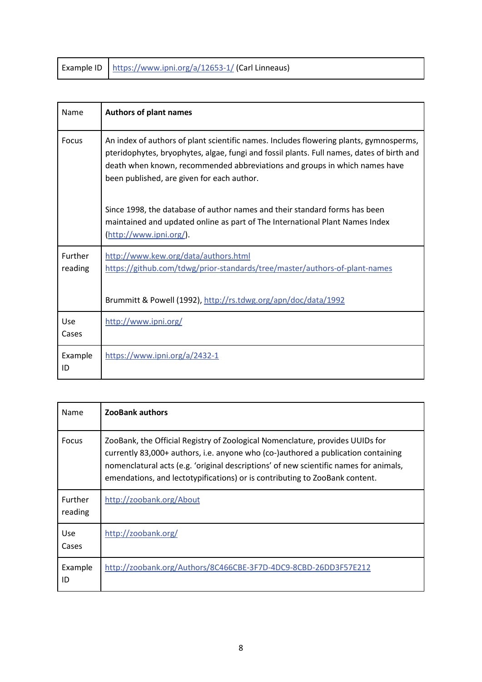|  | Example ID   https://www.ipni.org/a/12653-1/ (Carl Linneaus) |  |
|--|--------------------------------------------------------------|--|
|--|--------------------------------------------------------------|--|

| Name               | <b>Authors of plant names</b>                                                                                                                                                                                                                                                                                   |
|--------------------|-----------------------------------------------------------------------------------------------------------------------------------------------------------------------------------------------------------------------------------------------------------------------------------------------------------------|
| <b>Focus</b>       | An index of authors of plant scientific names. Includes flowering plants, gymnosperms,<br>pteridophytes, bryophytes, algae, fungi and fossil plants. Full names, dates of birth and<br>death when known, recommended abbreviations and groups in which names have<br>been published, are given for each author. |
|                    | Since 1998, the database of author names and their standard forms has been<br>maintained and updated online as part of The International Plant Names Index<br>(http://www.ipni.org/).                                                                                                                           |
| Further<br>reading | http://www.kew.org/data/authors.html<br>https://github.com/tdwg/prior-standards/tree/master/authors-of-plant-names<br>Brummitt & Powell (1992), http://rs.tdwg.org/apn/doc/data/1992                                                                                                                            |
| Use<br>Cases       | http://www.ipni.org/                                                                                                                                                                                                                                                                                            |
| Example<br>ID      | https://www.ipni.org/a/2432-1                                                                                                                                                                                                                                                                                   |

| Name                | <b>ZooBank authors</b>                                                                                                                                                                                                                                                                                                                     |
|---------------------|--------------------------------------------------------------------------------------------------------------------------------------------------------------------------------------------------------------------------------------------------------------------------------------------------------------------------------------------|
| Focus               | ZooBank, the Official Registry of Zoological Nomenclature, provides UUIDs for<br>currently 83,000+ authors, i.e. anyone who (co-)authored a publication containing<br>nomenclatural acts (e.g. 'original descriptions' of new scientific names for animals,<br>emendations, and lectotypifications) or is contributing to ZooBank content. |
| Further<br>reading  | http://zoobank.org/About                                                                                                                                                                                                                                                                                                                   |
| <b>Use</b><br>Cases | http://zoobank.org/                                                                                                                                                                                                                                                                                                                        |
| Example<br>ID       | http://zoobank.org/Authors/8C466CBE-3F7D-4DC9-8CBD-26DD3F57E212                                                                                                                                                                                                                                                                            |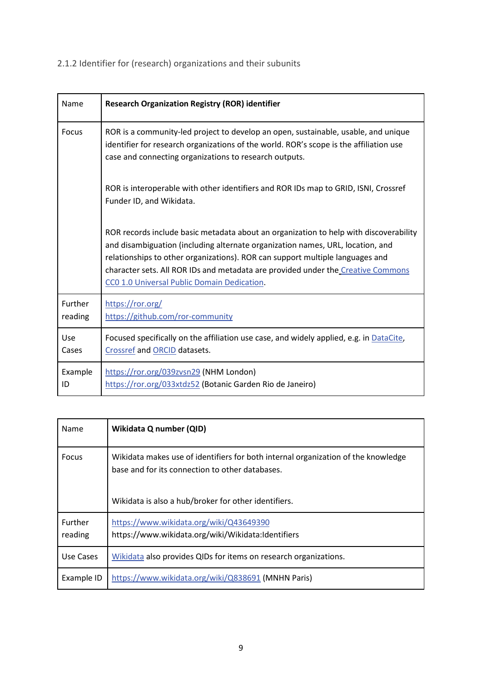<span id="page-10-0"></span>2.1.2 Identifier for (research) organizations and their subunits

| Name               | <b>Research Organization Registry (ROR) identifier</b>                                                                                                                                                                                                                                                                                                                                      |
|--------------------|---------------------------------------------------------------------------------------------------------------------------------------------------------------------------------------------------------------------------------------------------------------------------------------------------------------------------------------------------------------------------------------------|
| Focus              | ROR is a community-led project to develop an open, sustainable, usable, and unique<br>identifier for research organizations of the world. ROR's scope is the affiliation use<br>case and connecting organizations to research outputs.                                                                                                                                                      |
|                    | ROR is interoperable with other identifiers and ROR IDs map to GRID, ISNI, Crossref<br>Funder ID, and Wikidata.                                                                                                                                                                                                                                                                             |
|                    | ROR records include basic metadata about an organization to help with discoverability<br>and disambiguation (including alternate organization names, URL, location, and<br>relationships to other organizations). ROR can support multiple languages and<br>character sets. All ROR IDs and metadata are provided under the Creative Commons<br>CC0 1.0 Universal Public Domain Dedication. |
| Further<br>reading | https://ror.org/<br>https://github.com/ror-community                                                                                                                                                                                                                                                                                                                                        |
| Use<br>Cases       | Focused specifically on the affiliation use case, and widely applied, e.g. in DataCite,<br>Crossref and ORCID datasets.                                                                                                                                                                                                                                                                     |
| Example<br>ID      | https://ror.org/039zvsn29 (NHM London)<br>https://ror.org/033xtdz52 (Botanic Garden Rio de Janeiro)                                                                                                                                                                                                                                                                                         |

| Name                      | Wikidata Q number (QID)                                                                                                              |
|---------------------------|--------------------------------------------------------------------------------------------------------------------------------------|
| Focus                     | Wikidata makes use of identifiers for both internal organization of the knowledge<br>base and for its connection to other databases. |
|                           | Wikidata is also a hub/broker for other identifiers.                                                                                 |
| <b>Further</b><br>reading | https://www.wikidata.org/wiki/Q43649390<br>https://www.wikidata.org/wiki/Wikidata:Identifiers                                        |
| Use Cases                 | Wikidata also provides QIDs for items on research organizations.                                                                     |
| Example ID                | https://www.wikidata.org/wiki/Q838691 (MNHN Paris)                                                                                   |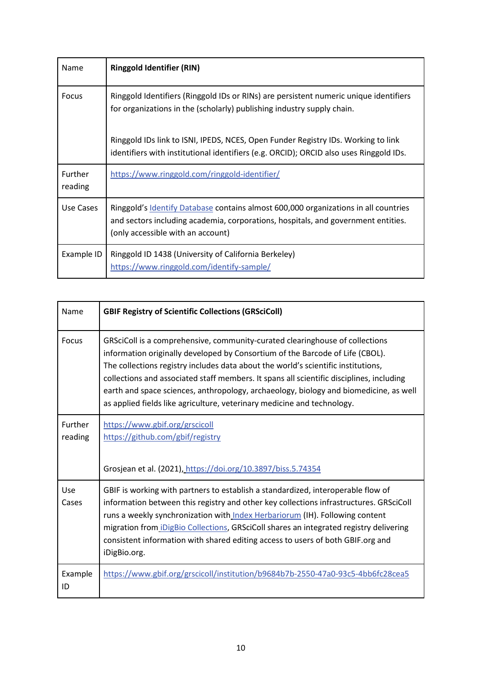| Name               | <b>Ringgold Identifier (RIN)</b>                                                                                                                                                                              |
|--------------------|---------------------------------------------------------------------------------------------------------------------------------------------------------------------------------------------------------------|
| Focus              | Ringgold Identifiers (Ringgold IDs or RINs) are persistent numeric unique identifiers<br>for organizations in the (scholarly) publishing industry supply chain.                                               |
|                    | Ringgold IDs link to ISNI, IPEDS, NCES, Open Funder Registry IDs. Working to link<br>identifiers with institutional identifiers (e.g. ORCID); ORCID also uses Ringgold IDs.                                   |
| Further<br>reading | https://www.ringgold.com/ringgold-identifier/                                                                                                                                                                 |
| Use Cases          | Ringgold's Identify Database contains almost 600,000 organizations in all countries<br>and sectors including academia, corporations, hospitals, and government entities.<br>(only accessible with an account) |
| Example ID         | Ringgold ID 1438 (University of California Berkeley)<br>https://www.ringgold.com/identify-sample/                                                                                                             |

| Name               | <b>GBIF Registry of Scientific Collections (GRSciColl)</b>                                                                                                                                                                                                                                                                                                                                                                                                                                                         |
|--------------------|--------------------------------------------------------------------------------------------------------------------------------------------------------------------------------------------------------------------------------------------------------------------------------------------------------------------------------------------------------------------------------------------------------------------------------------------------------------------------------------------------------------------|
| <b>Focus</b>       | GRSciColl is a comprehensive, community-curated clearinghouse of collections<br>information originally developed by Consortium of the Barcode of Life (CBOL).<br>The collections registry includes data about the world's scientific institutions,<br>collections and associated staff members. It spans all scientific disciplines, including<br>earth and space sciences, anthropology, archaeology, biology and biomedicine, as well<br>as applied fields like agriculture, veterinary medicine and technology. |
| Further<br>reading | https://www.gbif.org/grscicoll<br>https://github.com/gbif/registry<br>Grosjean et al. (2021), https://doi.org/10.3897/biss.5.74354                                                                                                                                                                                                                                                                                                                                                                                 |
| Use<br>Cases       | GBIF is working with partners to establish a standardized, interoperable flow of<br>information between this registry and other key collections infrastructures. GRSciColl<br>runs a weekly synchronization with Index Herbariorum (IH). Following content<br>migration from <i>iDigBio Collections</i> , GRSciColl shares an integrated registry delivering<br>consistent information with shared editing access to users of both GBIF.org and<br>iDigBio.org.                                                    |
| Example<br>ID      | https://www.gbif.org/grscicoll/institution/b9684b7b-2550-47a0-93c5-4bb6fc28cea5                                                                                                                                                                                                                                                                                                                                                                                                                                    |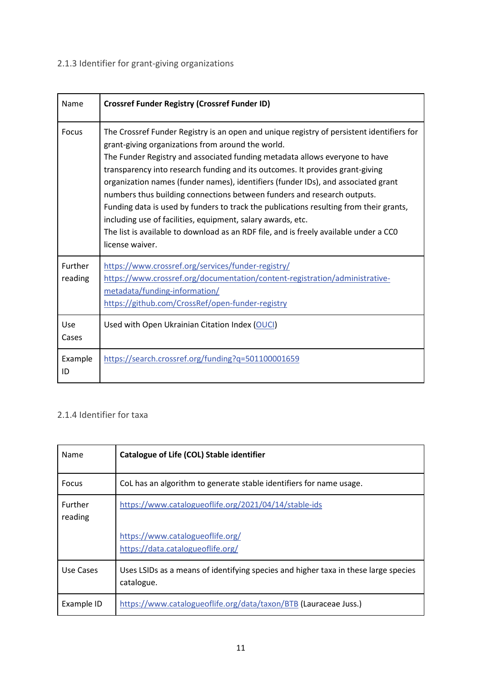<span id="page-12-0"></span>2.1.3 Identifier for grant-giving organizations

| Name               | <b>Crossref Funder Registry (Crossref Funder ID)</b>                                                                                                                                                                                                                                                                                                                                                                                                                                                                                                                                                                                                                                                                                                |
|--------------------|-----------------------------------------------------------------------------------------------------------------------------------------------------------------------------------------------------------------------------------------------------------------------------------------------------------------------------------------------------------------------------------------------------------------------------------------------------------------------------------------------------------------------------------------------------------------------------------------------------------------------------------------------------------------------------------------------------------------------------------------------------|
| Focus              | The Crossref Funder Registry is an open and unique registry of persistent identifiers for<br>grant-giving organizations from around the world.<br>The Funder Registry and associated funding metadata allows everyone to have<br>transparency into research funding and its outcomes. It provides grant-giving<br>organization names (funder names), identifiers (funder IDs), and associated grant<br>numbers thus building connections between funders and research outputs.<br>Funding data is used by funders to track the publications resulting from their grants,<br>including use of facilities, equipment, salary awards, etc.<br>The list is available to download as an RDF file, and is freely available under a CCO<br>license waiver. |
| Further<br>reading | https://www.crossref.org/services/funder-registry/<br>https://www.crossref.org/documentation/content-registration/administrative-<br>metadata/funding-information/<br>https://github.com/CrossRef/open-funder-registry                                                                                                                                                                                                                                                                                                                                                                                                                                                                                                                              |
| Use<br>Cases       | Used with Open Ukrainian Citation Index (OUCI)                                                                                                                                                                                                                                                                                                                                                                                                                                                                                                                                                                                                                                                                                                      |
| Example<br>ID      | https://search.crossref.org/funding?q=501100001659                                                                                                                                                                                                                                                                                                                                                                                                                                                                                                                                                                                                                                                                                                  |

# <span id="page-12-1"></span>2.1.4 Identifier for taxa

| Name               | Catalogue of Life (COL) Stable identifier                                                         |
|--------------------|---------------------------------------------------------------------------------------------------|
| <b>Focus</b>       | CoL has an algorithm to generate stable identifiers for name usage.                               |
| Further<br>reading | https://www.catalogueoflife.org/2021/04/14/stable-ids                                             |
|                    | https://www.catalogueoflife.org/<br>https://data.catalogueoflife.org/                             |
| Use Cases          | Uses LSIDs as a means of identifying species and higher taxa in these large species<br>catalogue. |
| Example ID         | https://www.catalogueoflife.org/data/taxon/BTB (Lauraceae Juss.)                                  |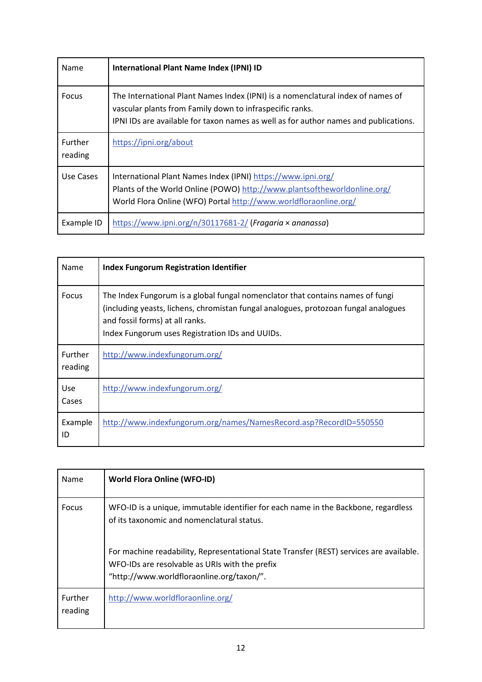| Name               | <b>International Plant Name Index (IPNI) ID</b>                                                                                                                                                                                     |
|--------------------|-------------------------------------------------------------------------------------------------------------------------------------------------------------------------------------------------------------------------------------|
| Focus              | The International Plant Names Index (IPNI) is a nomenclatural index of names of<br>vascular plants from Family down to infraspecific ranks.<br>IPNI IDs are available for taxon names as well as for author names and publications. |
| Further<br>reading | https://ipni.org/about                                                                                                                                                                                                              |
| Use Cases          | International Plant Names Index (IPNI) https://www.ipni.org/<br>Plants of the World Online (POWO) http://www.plantsoftheworldonline.org/<br>World Flora Online (WFO) Portal http://www.worldfloraonline.org/                        |
| Example ID         | https://www.ipni.org/n/30117681-2/ (Fragaria $\times$ ananassa)                                                                                                                                                                     |

| Name                      | <b>Index Fungorum Registration Identifier</b>                                                                                                                                                                                                               |
|---------------------------|-------------------------------------------------------------------------------------------------------------------------------------------------------------------------------------------------------------------------------------------------------------|
| Focus                     | The Index Fungorum is a global fungal nomenclator that contains names of fungi<br>(including yeasts, lichens, chromistan fungal analogues, protozoan fungal analogues<br>and fossil forms) at all ranks.<br>Index Fungorum uses Registration IDs and UUIDs. |
| <b>Further</b><br>reading | http://www.indexfungorum.org/                                                                                                                                                                                                                               |
| Use<br>Cases              | http://www.indexfungorum.org/                                                                                                                                                                                                                               |
| Example<br>ID             | http://www.indexfungorum.org/names/NamesRecord.asp?RecordID=550550                                                                                                                                                                                          |

| Name               | <b>World Flora Online (WFO-ID)</b>                                                                                                                                                     |
|--------------------|----------------------------------------------------------------------------------------------------------------------------------------------------------------------------------------|
| <b>Focus</b>       | WFO-ID is a unique, immutable identifier for each name in the Backbone, regardless<br>of its taxonomic and nomenclatural status.                                                       |
|                    | For machine readability, Representational State Transfer (REST) services are available.<br>WFO-IDs are resolvable as URIs with the prefix<br>"http://www.worldfloraonline.org/taxon/". |
| Further<br>reading | http://www.worldfloraonline.org/                                                                                                                                                       |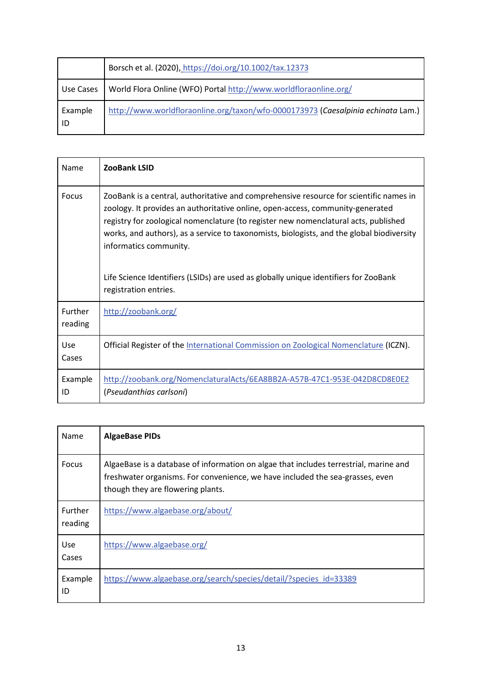|               | Borsch et al. (2020), https://doi.org/10.1002/tax.12373                          |
|---------------|----------------------------------------------------------------------------------|
| Use Cases     | World Flora Online (WFO) Portal http://www.worldfloraonline.org/                 |
| Example<br>ID | http://www.worldfloraonline.org/taxon/wfo-0000173973 (Caesalpinia echinata Lam.) |

| Name               | <b>ZooBank LSID</b>                                                                                                                                                                                                                                                                                                                                                                                                                                                                                     |
|--------------------|---------------------------------------------------------------------------------------------------------------------------------------------------------------------------------------------------------------------------------------------------------------------------------------------------------------------------------------------------------------------------------------------------------------------------------------------------------------------------------------------------------|
| Focus              | ZooBank is a central, authoritative and comprehensive resource for scientific names in<br>zoology. It provides an authoritative online, open-access, community-generated<br>registry for zoological nomenclature (to register new nomenclatural acts, published<br>works, and authors), as a service to taxonomists, biologists, and the global biodiversity<br>informatics community.<br>Life Science Identifiers (LSIDs) are used as globally unique identifiers for ZooBank<br>registration entries. |
| Further<br>reading | http://zoobank.org/                                                                                                                                                                                                                                                                                                                                                                                                                                                                                     |
| Use<br>Cases       | Official Register of the International Commission on Zoological Nomenclature (ICZN).                                                                                                                                                                                                                                                                                                                                                                                                                    |
| Example<br>ID      | http://zoobank.org/NomenclaturalActs/6EA8BB2A-A57B-47C1-953E-042D8CD8E0E2<br>(Pseudanthias carlsoni)                                                                                                                                                                                                                                                                                                                                                                                                    |

| Name                      | <b>AlgaeBase PIDs</b>                                                                                                                                                                                       |
|---------------------------|-------------------------------------------------------------------------------------------------------------------------------------------------------------------------------------------------------------|
| Focus                     | AlgaeBase is a database of information on algae that includes terrestrial, marine and<br>freshwater organisms. For convenience, we have included the sea-grasses, even<br>though they are flowering plants. |
| <b>Further</b><br>reading | https://www.algaebase.org/about/                                                                                                                                                                            |
| Use<br>Cases              | https://www.algaebase.org/                                                                                                                                                                                  |
| Example<br>ID             | https://www.algaebase.org/search/species/detail/?species id=33389                                                                                                                                           |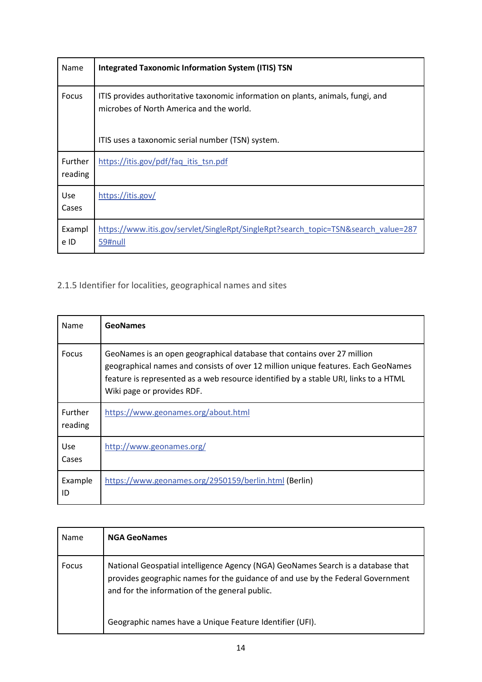| Name                | <b>Integrated Taxonomic Information System (ITIS) TSN</b>                                                                    |
|---------------------|------------------------------------------------------------------------------------------------------------------------------|
| Focus               | ITIS provides authoritative taxonomic information on plants, animals, fungi, and<br>microbes of North America and the world. |
|                     | ITIS uses a taxonomic serial number (TSN) system.                                                                            |
| Further<br>reading  | https://itis.gov/pdf/faq_itis_tsn.pdf                                                                                        |
| <b>Use</b><br>Cases | https://itis.gov/                                                                                                            |
| Exampl<br>e ID      | https://www.itis.gov/servlet/SingleRpt/SingleRpt?search_topic=TSN&search_value=287<br>59#null                                |

<span id="page-15-0"></span>2.1.5 Identifier for localities, geographical names and sites

| Name                      | <b>GeoNames</b>                                                                                                                                                                                                                                                                    |
|---------------------------|------------------------------------------------------------------------------------------------------------------------------------------------------------------------------------------------------------------------------------------------------------------------------------|
| Focus                     | GeoNames is an open geographical database that contains over 27 million<br>geographical names and consists of over 12 million unique features. Each GeoNames<br>feature is represented as a web resource identified by a stable URI, links to a HTML<br>Wiki page or provides RDF. |
| <b>Further</b><br>reading | https://www.geonames.org/about.html                                                                                                                                                                                                                                                |
| Use<br>Cases              | http://www.geonames.org/                                                                                                                                                                                                                                                           |
| Example<br>ID             | https://www.geonames.org/2950159/berlin.html (Berlin)                                                                                                                                                                                                                              |

| Name         | <b>NGA GeoNames</b>                                                                                                                                                                                                   |
|--------------|-----------------------------------------------------------------------------------------------------------------------------------------------------------------------------------------------------------------------|
| <b>Focus</b> | National Geospatial intelligence Agency (NGA) GeoNames Search is a database that<br>provides geographic names for the guidance of and use by the Federal Government<br>and for the information of the general public. |
|              | Geographic names have a Unique Feature Identifier (UFI).                                                                                                                                                              |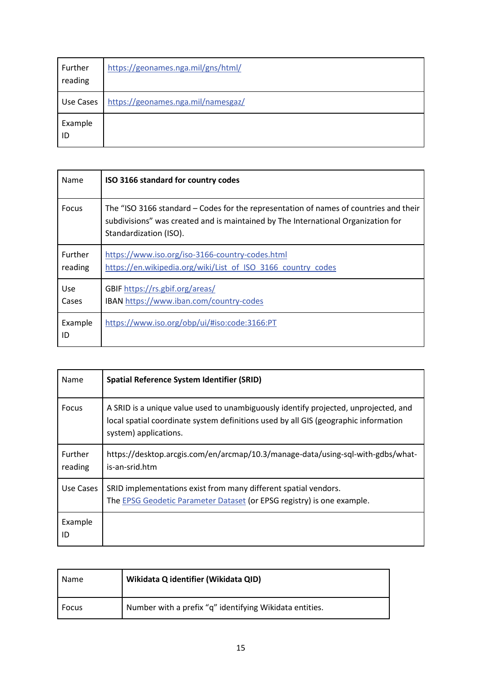| Further<br>reading | https://geonames.nga.mil/gns/html/ |
|--------------------|------------------------------------|
| Use Cases          | https://geonames.nga.mil/namesgaz/ |
| Example<br>ID      |                                    |

| Name               | ISO 3166 standard for country codes                                                                                                                                                                  |
|--------------------|------------------------------------------------------------------------------------------------------------------------------------------------------------------------------------------------------|
| Focus              | The "ISO 3166 standard – Codes for the representation of names of countries and their<br>subdivisions" was created and is maintained by The International Organization for<br>Standardization (ISO). |
| Further<br>reading | https://www.iso.org/iso-3166-country-codes.html<br>https://en.wikipedia.org/wiki/List of ISO 3166 country codes                                                                                      |
| Use<br>Cases       | GBIF https://rs.gbif.org/areas/<br>IBAN https://www.iban.com/country-codes                                                                                                                           |
| Example<br>ID      | https://www.iso.org/obp/ui/#iso:code:3166:PT                                                                                                                                                         |

| Name                      | <b>Spatial Reference System Identifier (SRID)</b>                                                                                                                                                   |
|---------------------------|-----------------------------------------------------------------------------------------------------------------------------------------------------------------------------------------------------|
| Focus                     | A SRID is a unique value used to unambiguously identify projected, unprojected, and<br>local spatial coordinate system definitions used by all GIS (geographic information<br>system) applications. |
| <b>Further</b><br>reading | https://desktop.arcgis.com/en/arcmap/10.3/manage-data/using-sql-with-gdbs/what-<br>is-an-srid.htm                                                                                                   |
| Use Cases                 | SRID implementations exist from many different spatial vendors.<br>The EPSG Geodetic Parameter Dataset (or EPSG registry) is one example.                                                           |
| Example<br>ID             |                                                                                                                                                                                                     |

| Name  | Wikidata Q identifier (Wikidata QID)                    |
|-------|---------------------------------------------------------|
| Focus | Number with a prefix "q" identifying Wikidata entities. |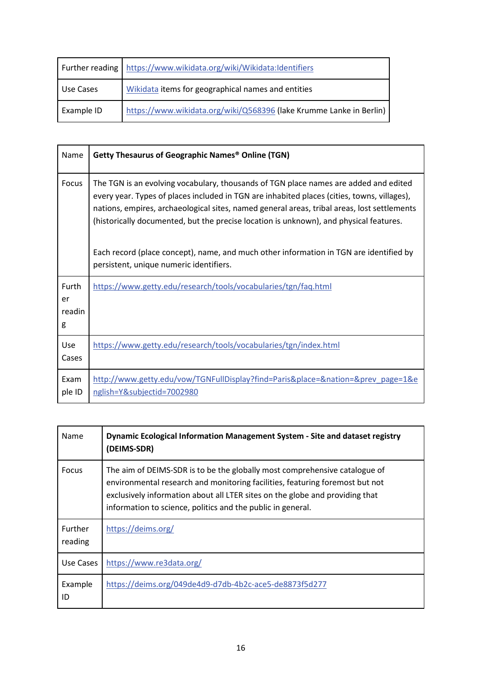|            | Further reading   https://www.wikidata.org/wiki/Wikidata:Identifiers |
|------------|----------------------------------------------------------------------|
| Use Cases  | Wikidata items for geographical names and entities                   |
| Example ID | https://www.wikidata.org/wiki/Q568396 (lake Krumme Lanke in Berlin)  |

| Name                       | <b>Getty Thesaurus of Geographic Names® Online (TGN)</b>                                                                                                                                                                                                                                                                                                                                                                                                                                                          |
|----------------------------|-------------------------------------------------------------------------------------------------------------------------------------------------------------------------------------------------------------------------------------------------------------------------------------------------------------------------------------------------------------------------------------------------------------------------------------------------------------------------------------------------------------------|
| Focus                      | The TGN is an evolving vocabulary, thousands of TGN place names are added and edited<br>every year. Types of places included in TGN are inhabited places (cities, towns, villages),<br>nations, empires, archaeological sites, named general areas, tribal areas, lost settlements<br>(historically documented, but the precise location is unknown), and physical features.<br>Each record (place concept), name, and much other information in TGN are identified by<br>persistent, unique numeric identifiers. |
| Furth<br>er<br>readin<br>g | https://www.getty.edu/research/tools/vocabularies/tgn/faq.html                                                                                                                                                                                                                                                                                                                                                                                                                                                    |
| Use<br>Cases               | https://www.getty.edu/research/tools/vocabularies/tgn/index.html                                                                                                                                                                                                                                                                                                                                                                                                                                                  |
| Exam<br>ple ID             | http://www.getty.edu/vow/TGNFullDisplay?find=Paris&place=&nation=&prev_page=1&e<br>nglish=Y&subjectid=7002980                                                                                                                                                                                                                                                                                                                                                                                                     |

| Name                      | Dynamic Ecological Information Management System - Site and dataset registry<br>(DEIMS-SDR)                                                                                                                                                                                                               |
|---------------------------|-----------------------------------------------------------------------------------------------------------------------------------------------------------------------------------------------------------------------------------------------------------------------------------------------------------|
| <b>Focus</b>              | The aim of DEIMS-SDR is to be the globally most comprehensive catalogue of<br>environmental research and monitoring facilities, featuring foremost but not<br>exclusively information about all LTER sites on the globe and providing that<br>information to science, politics and the public in general. |
| <b>Further</b><br>reading | https://deims.org/                                                                                                                                                                                                                                                                                        |
| Use Cases                 | https://www.re3data.org/                                                                                                                                                                                                                                                                                  |
| Example<br>ID             | https://deims.org/049de4d9-d7db-4b2c-ace5-de8873f5d277                                                                                                                                                                                                                                                    |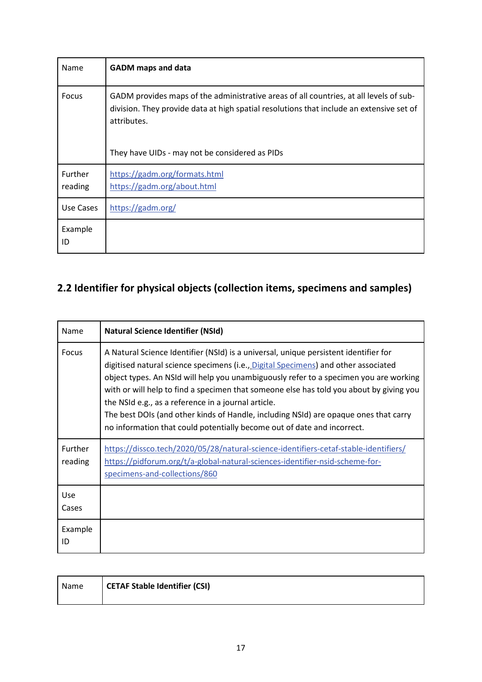| Name               | <b>GADM</b> maps and data                                                                                                                                                                         |
|--------------------|---------------------------------------------------------------------------------------------------------------------------------------------------------------------------------------------------|
| Focus              | GADM provides maps of the administrative areas of all countries, at all levels of sub-<br>division. They provide data at high spatial resolutions that include an extensive set of<br>attributes. |
|                    | They have UIDs - may not be considered as PIDs                                                                                                                                                    |
| Further<br>reading | https://gadm.org/formats.html<br>https://gadm.org/about.html                                                                                                                                      |
| Use Cases          | https://gadm.org/                                                                                                                                                                                 |
| Example<br>ID      |                                                                                                                                                                                                   |

# <span id="page-18-0"></span>**2.2 Identifier for physical objects (collection items, specimens and samples)**

| Name                | <b>Natural Science Identifier (NSId)</b>                                                                                                                                                                                                                                                                                                                                                                                                                                                                                                                                                 |
|---------------------|------------------------------------------------------------------------------------------------------------------------------------------------------------------------------------------------------------------------------------------------------------------------------------------------------------------------------------------------------------------------------------------------------------------------------------------------------------------------------------------------------------------------------------------------------------------------------------------|
| <b>Focus</b>        | A Natural Science Identifier (NSId) is a universal, unique persistent identifier for<br>digitised natural science specimens (i.e., Digital Specimens) and other associated<br>object types. An NSId will help you unambiguously refer to a specimen you are working<br>with or will help to find a specimen that someone else has told you about by giving you<br>the NSId e.g., as a reference in a journal article.<br>The best DOIs (and other kinds of Handle, including NSId) are opaque ones that carry<br>no information that could potentially become out of date and incorrect. |
| Further<br>reading  | https://dissco.tech/2020/05/28/natural-science-identifiers-cetaf-stable-identifiers/<br>https://pidforum.org/t/a-global-natural-sciences-identifier-nsid-scheme-for-<br>specimens-and-collections/860                                                                                                                                                                                                                                                                                                                                                                                    |
| <b>Use</b><br>Cases |                                                                                                                                                                                                                                                                                                                                                                                                                                                                                                                                                                                          |
| Example<br>ID       |                                                                                                                                                                                                                                                                                                                                                                                                                                                                                                                                                                                          |

| Name | CETAF Stable Identifier (CSI) |
|------|-------------------------------|
|      |                               |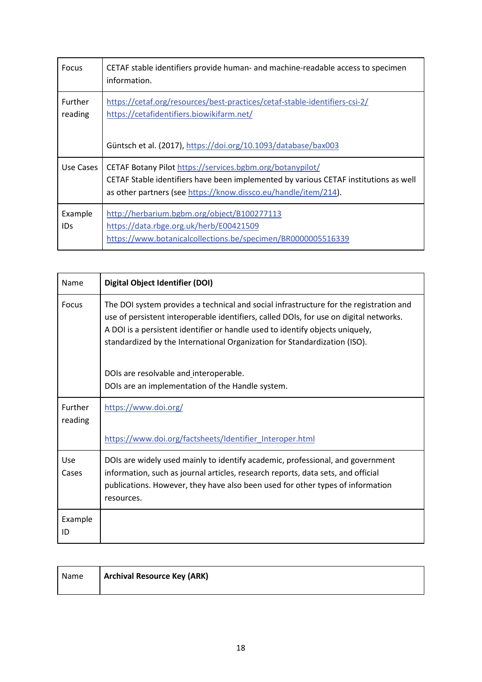| Focus                     | CETAF stable identifiers provide human- and machine-readable access to specimen<br>information.                                                                                                                      |
|---------------------------|----------------------------------------------------------------------------------------------------------------------------------------------------------------------------------------------------------------------|
| <b>Further</b><br>reading | https://cetaf.org/resources/best-practices/cetaf-stable-identifiers-csi-2/<br>https://cetafidentifiers.biowikifarm.net/                                                                                              |
|                           | Güntsch et al. (2017), https://doi.org/10.1093/database/bax003                                                                                                                                                       |
| Use Cases                 | CETAF Botany Pilot https://services.bgbm.org/botanypilot/<br>CETAF Stable identifiers have been implemented by various CETAF institutions as well<br>as other partners (see https://know.dissco.eu/handle/item/214). |
| Example<br>IDs            | http://herbarium.bgbm.org/object/B100277113<br>https://data.rbge.org.uk/herb/E00421509<br>https://www.botanicalcollections.be/specimen/BR0000005516339                                                               |

| Name                | <b>Digital Object Identifier (DOI)</b>                                                                                                                                                                                                                                                                                                         |  |
|---------------------|------------------------------------------------------------------------------------------------------------------------------------------------------------------------------------------------------------------------------------------------------------------------------------------------------------------------------------------------|--|
| <b>Focus</b>        | The DOI system provides a technical and social infrastructure for the registration and<br>use of persistent interoperable identifiers, called DOIs, for use on digital networks.<br>A DOI is a persistent identifier or handle used to identify objects uniquely,<br>standardized by the International Organization for Standardization (ISO). |  |
|                     | DOIs are resolvable and interoperable.<br>DOIs are an implementation of the Handle system.                                                                                                                                                                                                                                                     |  |
| Further<br>reading  | https://www.doi.org/                                                                                                                                                                                                                                                                                                                           |  |
|                     | https://www.doi.org/factsheets/Identifier Interoper.html                                                                                                                                                                                                                                                                                       |  |
| <b>Use</b><br>Cases | DOIs are widely used mainly to identify academic, professional, and government<br>information, such as journal articles, research reports, data sets, and official<br>publications. However, they have also been used for other types of information<br>resources.                                                                             |  |
| Example<br>ID       |                                                                                                                                                                                                                                                                                                                                                |  |

| Name | <b>Archival Resource Key (ARK)</b> |
|------|------------------------------------|
|      |                                    |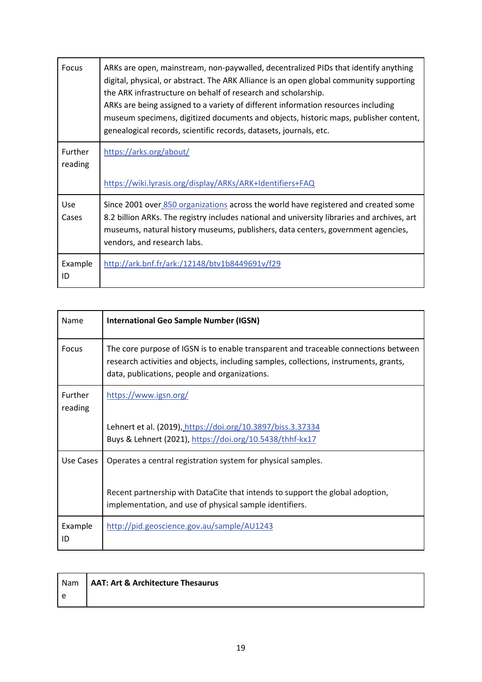| Focus               | ARKs are open, mainstream, non-paywalled, decentralized PIDs that identify anything<br>digital, physical, or abstract. The ARK Alliance is an open global community supporting<br>the ARK infrastructure on behalf of research and scholarship.<br>ARKs are being assigned to a variety of different information resources including<br>museum specimens, digitized documents and objects, historic maps, publisher content,<br>genealogical records, scientific records, datasets, journals, etc. |
|---------------------|----------------------------------------------------------------------------------------------------------------------------------------------------------------------------------------------------------------------------------------------------------------------------------------------------------------------------------------------------------------------------------------------------------------------------------------------------------------------------------------------------|
| Further<br>reading  | https://arks.org/about/                                                                                                                                                                                                                                                                                                                                                                                                                                                                            |
|                     | https://wiki.lyrasis.org/display/ARKs/ARK+Identifiers+FAQ                                                                                                                                                                                                                                                                                                                                                                                                                                          |
| <b>Use</b><br>Cases | Since 2001 over 850 organizations across the world have registered and created some<br>8.2 billion ARKs. The registry includes national and university libraries and archives, art<br>museums, natural history museums, publishers, data centers, government agencies,<br>vendors, and research labs.                                                                                                                                                                                              |
| Example<br>ID       | http://ark.bnf.fr/ark:/12148/btv1b8449691v/f29                                                                                                                                                                                                                                                                                                                                                                                                                                                     |

| Name               | <b>International Geo Sample Number (IGSN)</b>                                                                                                                                                                                 |
|--------------------|-------------------------------------------------------------------------------------------------------------------------------------------------------------------------------------------------------------------------------|
| <b>Focus</b>       | The core purpose of IGSN is to enable transparent and traceable connections between<br>research activities and objects, including samples, collections, instruments, grants,<br>data, publications, people and organizations. |
| Further<br>reading | https://www.igsn.org/                                                                                                                                                                                                         |
|                    | Lehnert et al. (2019), https://doi.org/10.3897/biss.3.37334<br>Buys & Lehnert (2021), https://doi.org/10.5438/thhf-kx17                                                                                                       |
| Use Cases          | Operates a central registration system for physical samples.                                                                                                                                                                  |
|                    | Recent partnership with DataCite that intends to support the global adoption,<br>implementation, and use of physical sample identifiers.                                                                                      |
| Example<br>ID      | http://pid.geoscience.gov.au/sample/AU1243                                                                                                                                                                                    |

|     | Nam   AAT: Art & Architecture Thesaurus |
|-----|-----------------------------------------|
| l e |                                         |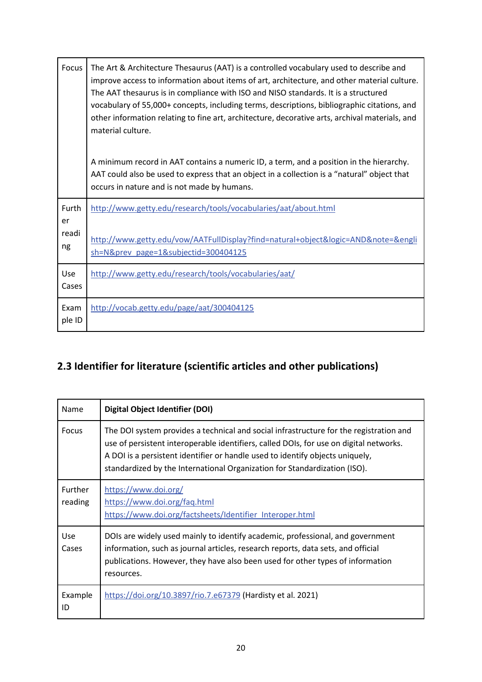| Focus          | The Art & Architecture Thesaurus (AAT) is a controlled vocabulary used to describe and<br>improve access to information about items of art, architecture, and other material culture.<br>The AAT thesaurus is in compliance with ISO and NISO standards. It is a structured<br>vocabulary of 55,000+ concepts, including terms, descriptions, bibliographic citations, and<br>other information relating to fine art, architecture, decorative arts, archival materials, and<br>material culture. |
|----------------|---------------------------------------------------------------------------------------------------------------------------------------------------------------------------------------------------------------------------------------------------------------------------------------------------------------------------------------------------------------------------------------------------------------------------------------------------------------------------------------------------|
|                | A minimum record in AAT contains a numeric ID, a term, and a position in the hierarchy.<br>AAT could also be used to express that an object in a collection is a "natural" object that<br>occurs in nature and is not made by humans.                                                                                                                                                                                                                                                             |
| Furth<br>er    | http://www.getty.edu/research/tools/vocabularies/aat/about.html                                                                                                                                                                                                                                                                                                                                                                                                                                   |
| readi<br>ng    | http://www.getty.edu/vow/AATFullDisplay?find=natural+object&logic=AND&note=&engli<br>sh=N&prev page=1&subjectid=300404125                                                                                                                                                                                                                                                                                                                                                                         |
| Use<br>Cases   | http://www.getty.edu/research/tools/vocabularies/aat/                                                                                                                                                                                                                                                                                                                                                                                                                                             |
| Exam<br>ple ID | http://vocab.getty.edu/page/aat/300404125                                                                                                                                                                                                                                                                                                                                                                                                                                                         |

# <span id="page-21-0"></span>**2.3 Identifier for literature (scientific articles and other publications)**

| Name                      | <b>Digital Object Identifier (DOI)</b>                                                                                                                                                                                                                                                                                                         |
|---------------------------|------------------------------------------------------------------------------------------------------------------------------------------------------------------------------------------------------------------------------------------------------------------------------------------------------------------------------------------------|
| Focus                     | The DOI system provides a technical and social infrastructure for the registration and<br>use of persistent interoperable identifiers, called DOIs, for use on digital networks.<br>A DOI is a persistent identifier or handle used to identify objects uniquely,<br>standardized by the International Organization for Standardization (ISO). |
| <b>Further</b><br>reading | https://www.doi.org/<br>https://www.doi.org/faq.html<br>https://www.doi.org/factsheets/Identifier Interoper.html                                                                                                                                                                                                                               |
| Use<br>Cases              | DOIs are widely used mainly to identify academic, professional, and government<br>information, such as journal articles, research reports, data sets, and official<br>publications. However, they have also been used for other types of information<br>resources.                                                                             |
| Example<br>ID             | https://doi.org/10.3897/rio.7.e67379 (Hardisty et al. 2021)                                                                                                                                                                                                                                                                                    |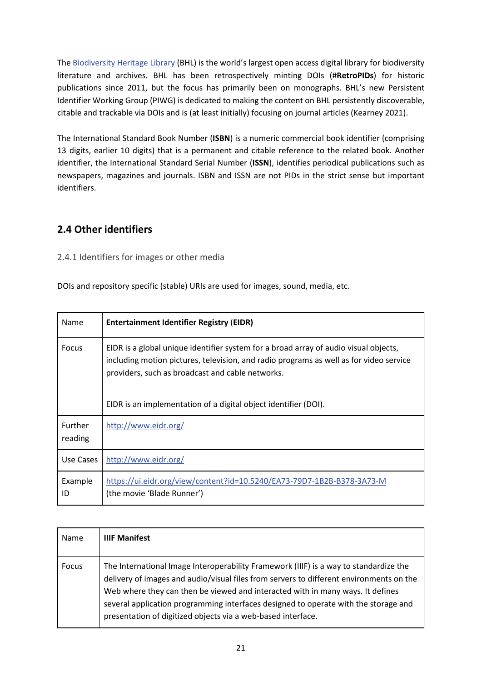The [Biodiversity Heritage Library](http://www.biodiversitylibrary.org/) (BHL) is the world's largest open access digital library for biodiversity literature and archives. BHL has been retrospectively minting DOIs (#**RetroPIDs**) for historic publications since 2011, but the focus has primarily been on monographs. BHL's new Persistent Identifier Working Group (PIWG) is dedicated to making the content on BHL persistently discoverable, citable and trackable via DOIs and is (at least initially) focusing on journal articles (Kearney 2021).

The International Standard Book Number (**ISBN**) is a numeric commercial book identifier (comprising 13 digits, earlier 10 digits) that is a permanent and citable reference to the related book. Another identifier, the International Standard Serial Number (**ISSN**), identifies periodical publications such as newspapers, magazines and journals. ISBN and ISSN are not PIDs in the strict sense but important identifiers.

## <span id="page-22-0"></span>**2.4 Other identifiers**

## <span id="page-22-1"></span>2.4.1 Identifiers for images or other media

DOIs and repository specific (stable) URIs are used for images, sound, media, etc.

| Name                      | <b>Entertainment Identifier Registry (EIDR)</b>                                                                                                                                                                                                                                                       |
|---------------------------|-------------------------------------------------------------------------------------------------------------------------------------------------------------------------------------------------------------------------------------------------------------------------------------------------------|
| Focus                     | EIDR is a global unique identifier system for a broad array of audio visual objects,<br>including motion pictures, television, and radio programs as well as for video service<br>providers, such as broadcast and cable networks.<br>EIDR is an implementation of a digital object identifier (DOI). |
| <b>Further</b><br>reading | http://www.eidr.org/                                                                                                                                                                                                                                                                                  |
| Use Cases                 | http://www.eidr.org/                                                                                                                                                                                                                                                                                  |
| Example<br>ID             | https://ui.eidr.org/view/content?id=10.5240/EA73-79D7-1B2B-B378-3A73-M<br>(the movie 'Blade Runner')                                                                                                                                                                                                  |

| Name  | <b>IIIF Manifest</b>                                                                                                                                                                                                                                                                                                                                                                                                      |
|-------|---------------------------------------------------------------------------------------------------------------------------------------------------------------------------------------------------------------------------------------------------------------------------------------------------------------------------------------------------------------------------------------------------------------------------|
| Focus | The International Image Interoperability Framework (IIIF) is a way to standardize the<br>delivery of images and audio/visual files from servers to different environments on the<br>Web where they can then be viewed and interacted with in many ways. It defines<br>several application programming interfaces designed to operate with the storage and<br>presentation of digitized objects via a web-based interface. |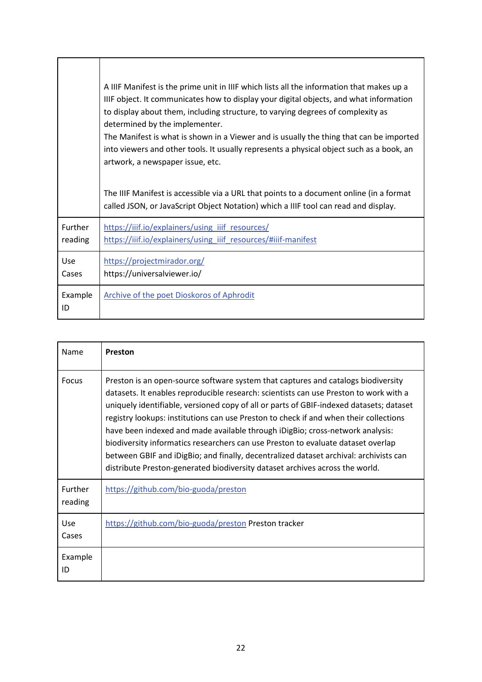|               | A IIIF Manifest is the prime unit in IIIF which lists all the information that makes up a<br>IIIF object. It communicates how to display your digital objects, and what information<br>to display about them, including structure, to varying degrees of complexity as<br>determined by the implementer.<br>The Manifest is what is shown in a Viewer and is usually the thing that can be imported<br>into viewers and other tools. It usually represents a physical object such as a book, an<br>artwork, a newspaper issue, etc.<br>The IIIF Manifest is accessible via a URL that points to a document online (in a format<br>called JSON, or JavaScript Object Notation) which a IIIF tool can read and display. |
|---------------|-----------------------------------------------------------------------------------------------------------------------------------------------------------------------------------------------------------------------------------------------------------------------------------------------------------------------------------------------------------------------------------------------------------------------------------------------------------------------------------------------------------------------------------------------------------------------------------------------------------------------------------------------------------------------------------------------------------------------|
| Further       | https://iiif.io/explainers/using iiif resources/                                                                                                                                                                                                                                                                                                                                                                                                                                                                                                                                                                                                                                                                      |
| reading       | https://iiif.io/explainers/using_iiif_resources/#iiif-manifest                                                                                                                                                                                                                                                                                                                                                                                                                                                                                                                                                                                                                                                        |
| Use           | https://projectmirador.org/                                                                                                                                                                                                                                                                                                                                                                                                                                                                                                                                                                                                                                                                                           |
| Cases         | https://universalviewer.io/                                                                                                                                                                                                                                                                                                                                                                                                                                                                                                                                                                                                                                                                                           |
| Example<br>ID | <b>Archive of the poet Dioskoros of Aphrodit</b>                                                                                                                                                                                                                                                                                                                                                                                                                                                                                                                                                                                                                                                                      |

 $\mathbf{r}$ 

т

 $\overline{\mathbf{1}}$ 

| Name               | Preston                                                                                                                                                                                                                                                                                                                                                                                                                                                                                                                                                                                                                                                                                                      |
|--------------------|--------------------------------------------------------------------------------------------------------------------------------------------------------------------------------------------------------------------------------------------------------------------------------------------------------------------------------------------------------------------------------------------------------------------------------------------------------------------------------------------------------------------------------------------------------------------------------------------------------------------------------------------------------------------------------------------------------------|
| Focus              | Preston is an open-source software system that captures and catalogs biodiversity<br>datasets. It enables reproducible research: scientists can use Preston to work with a<br>uniquely identifiable, versioned copy of all or parts of GBIF-indexed datasets; dataset<br>registry lookups: institutions can use Preston to check if and when their collections<br>have been indexed and made available through iDigBio; cross-network analysis:<br>biodiversity informatics researchers can use Preston to evaluate dataset overlap<br>between GBIF and iDigBio; and finally, decentralized dataset archival: archivists can<br>distribute Preston-generated biodiversity dataset archives across the world. |
| Further<br>reading | https://github.com/bio-guoda/preston                                                                                                                                                                                                                                                                                                                                                                                                                                                                                                                                                                                                                                                                         |
| Use<br>Cases       | https://github.com/bio-guoda/preston Preston tracker                                                                                                                                                                                                                                                                                                                                                                                                                                                                                                                                                                                                                                                         |
| Example<br>ID      |                                                                                                                                                                                                                                                                                                                                                                                                                                                                                                                                                                                                                                                                                                              |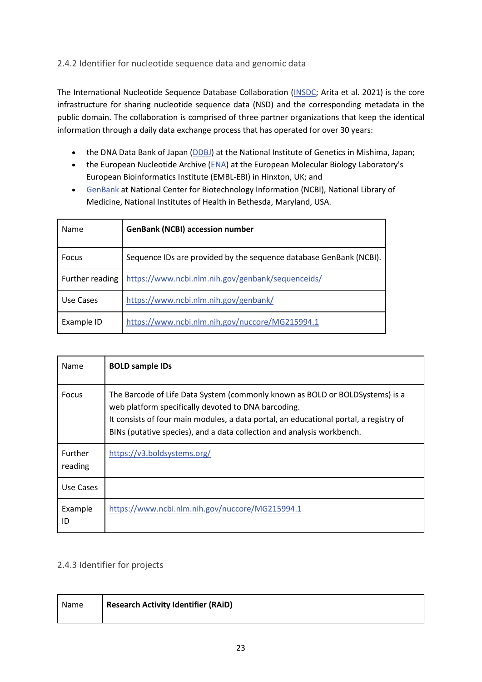## <span id="page-24-0"></span>2.4.2 Identifier for nucleotide sequence data and genomic data

The International Nucleotide Sequence Database Collaboration [\(INSDC;](http://www.insdc.org/) Arita et al. 2021) is the core infrastructure for sharing nucleotide sequence data (NSD) and the corresponding metadata in the public domain. The collaboration is comprised of three partner organizations that keep the identical information through a daily data exchange process that has operated for over 30 years:

- the DNA Data Bank of Japan [\(DDBJ\)](http://www.ddbj.nig.ac.jp/) at the National Institute of Genetics in Mishima, Japan;
- the European Nucleotide Archive [\(ENA\)](http://www.ebi.ac.uk/ena/) at the European Molecular Biology Laboratory's European Bioinformatics Institute (EMBL-EBI) in Hinxton, UK; and
- [GenBank](https://www.ncbi.nlm.nih.gov/genbank/) at National Center for Biotechnology Information (NCBI), National Library of Medicine, National Institutes of Health in Bethesda, Maryland, USA.

| Name            | <b>GenBank (NCBI) accession number</b>                             |
|-----------------|--------------------------------------------------------------------|
| <b>Focus</b>    | Sequence IDs are provided by the sequence database GenBank (NCBI). |
| Further reading | https://www.ncbi.nlm.nih.gov/genbank/sequenceids/                  |
| Use Cases       | https://www.ncbi.nlm.nih.gov/genbank/                              |
| Example ID      | https://www.ncbi.nlm.nih.gov/nuccore/MG215994.1                    |

| Name                      | <b>BOLD sample IDs</b>                                                                                                                                                                                                                                                                                 |
|---------------------------|--------------------------------------------------------------------------------------------------------------------------------------------------------------------------------------------------------------------------------------------------------------------------------------------------------|
| Focus                     | The Barcode of Life Data System (commonly known as BOLD or BOLDSystems) is a<br>web platform specifically devoted to DNA barcoding.<br>It consists of four main modules, a data portal, an educational portal, a registry of<br>BINs (putative species), and a data collection and analysis workbench. |
| <b>Further</b><br>reading | https://v3.boldsystems.org/                                                                                                                                                                                                                                                                            |
| Use Cases                 |                                                                                                                                                                                                                                                                                                        |
| Example<br>ID             | https://www.ncbi.nlm.nih.gov/nuccore/MG215994.1                                                                                                                                                                                                                                                        |

## <span id="page-24-1"></span>2.4.3 Identifier for projects

| Name | <b>Research Activity Identifier (RAiD)</b> |
|------|--------------------------------------------|
|      |                                            |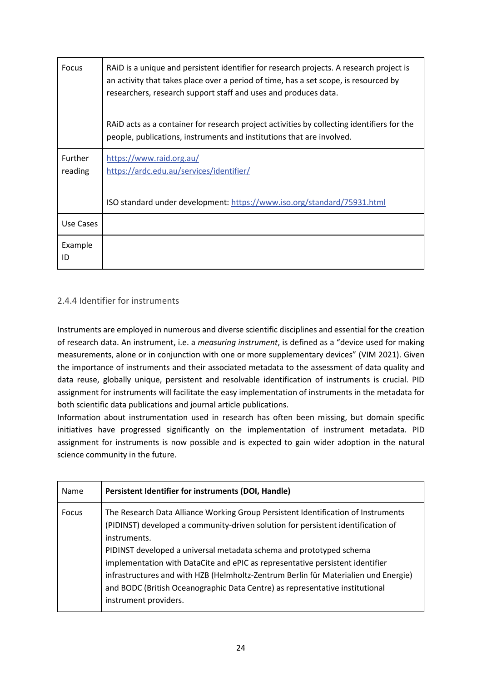| <b>Focus</b>              | RAID is a unique and persistent identifier for research projects. A research project is<br>an activity that takes place over a period of time, has a set scope, is resourced by<br>researchers, research support staff and uses and produces data. |
|---------------------------|----------------------------------------------------------------------------------------------------------------------------------------------------------------------------------------------------------------------------------------------------|
|                           | RAID acts as a container for research project activities by collecting identifiers for the<br>people, publications, instruments and institutions that are involved.                                                                                |
| <b>Further</b><br>reading | https://www.raid.org.au/<br>https://ardc.edu.au/services/identifier/                                                                                                                                                                               |
|                           | ISO standard under development: https://www.iso.org/standard/75931.html                                                                                                                                                                            |
| Use Cases                 |                                                                                                                                                                                                                                                    |
| Example<br>ID             |                                                                                                                                                                                                                                                    |

## <span id="page-25-0"></span>2.4.4 Identifier for instruments

Instruments are employed in numerous and diverse scientific disciplines and essential for the creation of research data. An instrument, i.e. a *measuring instrument*, is defined as a "device used for making measurements, alone or in conjunction with one or more supplementary devices" (VIM 2021). Given the importance of instruments and their associated metadata to the assessment of data quality and data reuse, globally unique, persistent and resolvable identification of instruments is crucial. PID assignment for instruments will facilitate the easy implementation of instruments in the metadata for both scientific data publications and journal article publications.

Information about instrumentation used in research has often been missing, but domain specific initiatives have progressed significantly on the implementation of instrument metadata. PID assignment for instruments is now possible and is expected to gain wider adoption in the natural science community in the future.

| Name         | Persistent Identifier for instruments (DOI, Handle)                                                                                                                                                                                                                                                                                                                                                                                                                                                                                           |
|--------------|-----------------------------------------------------------------------------------------------------------------------------------------------------------------------------------------------------------------------------------------------------------------------------------------------------------------------------------------------------------------------------------------------------------------------------------------------------------------------------------------------------------------------------------------------|
| <b>Focus</b> | The Research Data Alliance Working Group Persistent Identification of Instruments<br>(PIDINST) developed a community-driven solution for persistent identification of<br>instruments.<br>PIDINST developed a universal metadata schema and prototyped schema<br>implementation with DataCite and ePIC as representative persistent identifier<br>infrastructures and with HZB (Helmholtz-Zentrum Berlin für Materialien und Energie)<br>and BODC (British Oceanographic Data Centre) as representative institutional<br>instrument providers. |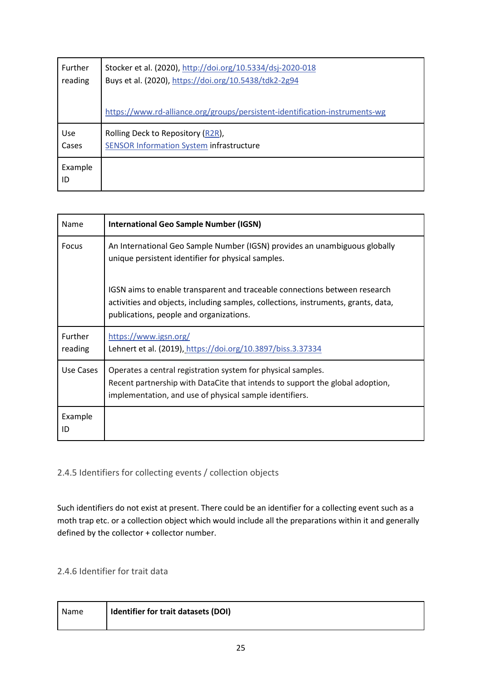| <b>Further</b> | Stocker et al. (2020), http://doi.org/10.5334/dsj-2020-018                  |
|----------------|-----------------------------------------------------------------------------|
| reading        | Buys et al. (2020), https://doi.org/10.5438/tdk2-2g94                       |
|                | https://www.rd-alliance.org/groups/persistent-identification-instruments-wg |
| Use            | Rolling Deck to Repository (R2R),                                           |
| Cases          | <b>SENSOR Information System infrastructure</b>                             |
| Example<br>ID  |                                                                             |

| Name               | <b>International Geo Sample Number (IGSN)</b>                                                                                                                                                               |
|--------------------|-------------------------------------------------------------------------------------------------------------------------------------------------------------------------------------------------------------|
| <b>Focus</b>       | An International Geo Sample Number (IGSN) provides an unambiguous globally<br>unique persistent identifier for physical samples.                                                                            |
|                    | IGSN aims to enable transparent and traceable connections between research<br>activities and objects, including samples, collections, instruments, grants, data,<br>publications, people and organizations. |
| Further<br>reading | https://www.igsn.org/<br>Lehnert et al. (2019), https://doi.org/10.3897/biss.3.37334                                                                                                                        |
| Use Cases          | Operates a central registration system for physical samples.<br>Recent partnership with DataCite that intends to support the global adoption,<br>implementation, and use of physical sample identifiers.    |
| Example<br>ID      |                                                                                                                                                                                                             |

## <span id="page-26-0"></span>2.4.5 Identifiers for collecting events / collection objects

Such identifiers do not exist at present. There could be an identifier for a collecting event such as a moth trap etc. or a collection object which would include all the preparations within it and generally defined by the collector + collector number.

## <span id="page-26-1"></span>2.4.6 Identifier for trait data

| Name | I Identifier for trait datasets (DOI) |
|------|---------------------------------------|
|      |                                       |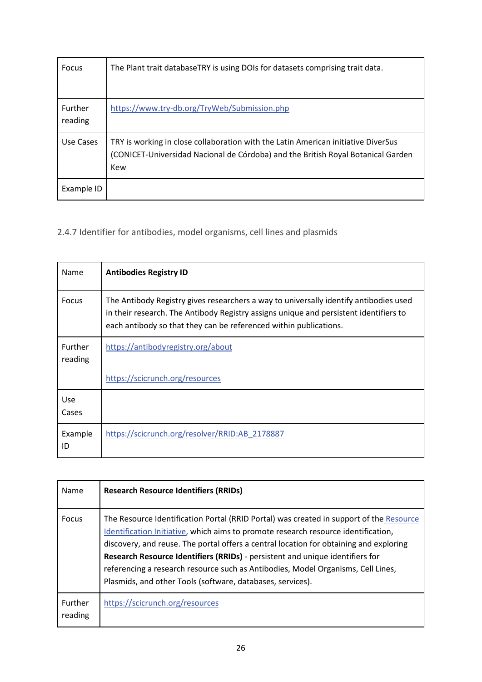| <b>Focus</b>       | The Plant trait databaseTRY is using DOIs for datasets comprising trait data.                                                                                                |
|--------------------|------------------------------------------------------------------------------------------------------------------------------------------------------------------------------|
| Further<br>reading | https://www.try-db.org/TryWeb/Submission.php                                                                                                                                 |
| Use Cases          | TRY is working in close collaboration with the Latin American initiative DiverSus<br>(CONICET-Universidad Nacional de Córdoba) and the British Royal Botanical Garden<br>Kew |
| Example ID         |                                                                                                                                                                              |

<span id="page-27-0"></span>2.4.7 Identifier for antibodies, model organisms, cell lines and plasmids

| Name                      | <b>Antibodies Registry ID</b>                                                                                                                                                                                                                       |
|---------------------------|-----------------------------------------------------------------------------------------------------------------------------------------------------------------------------------------------------------------------------------------------------|
| Focus                     | The Antibody Registry gives researchers a way to universally identify antibodies used<br>in their research. The Antibody Registry assigns unique and persistent identifiers to<br>each antibody so that they can be referenced within publications. |
| <b>Further</b><br>reading | https://antibodyregistry.org/about                                                                                                                                                                                                                  |
|                           | https://scicrunch.org/resources                                                                                                                                                                                                                     |
| Use<br>Cases              |                                                                                                                                                                                                                                                     |
| Example<br>ID             | https://scicrunch.org/resolver/RRID:AB 2178887                                                                                                                                                                                                      |

| Name                      | <b>Research Resource Identifiers (RRIDs)</b>                                                                                                                                                                                                                                                                                                                                                                                                                                                               |
|---------------------------|------------------------------------------------------------------------------------------------------------------------------------------------------------------------------------------------------------------------------------------------------------------------------------------------------------------------------------------------------------------------------------------------------------------------------------------------------------------------------------------------------------|
| <b>Focus</b>              | The Resource Identification Portal (RRID Portal) was created in support of the Resource<br>Identification Initiative, which aims to promote research resource identification,<br>discovery, and reuse. The portal offers a central location for obtaining and exploring<br>Research Resource Identifiers (RRIDs) - persistent and unique identifiers for<br>referencing a research resource such as Antibodies, Model Organisms, Cell Lines,<br>Plasmids, and other Tools (software, databases, services). |
| <b>Further</b><br>reading | https://scicrunch.org/resources                                                                                                                                                                                                                                                                                                                                                                                                                                                                            |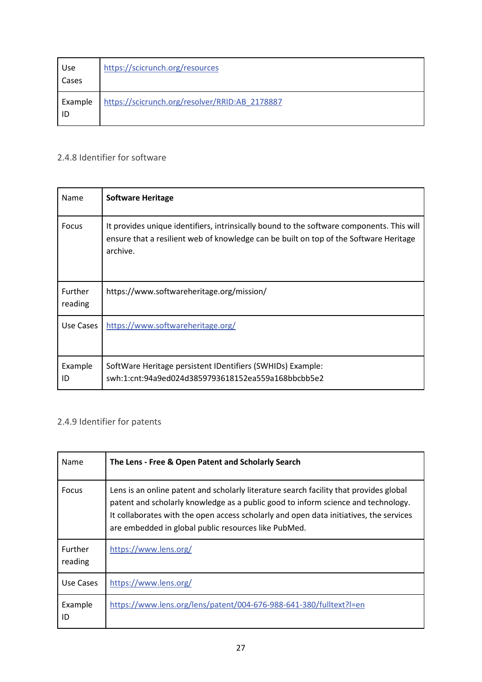| Use<br>Cases  | https://scicrunch.org/resources                |
|---------------|------------------------------------------------|
| Example<br>ID | https://scicrunch.org/resolver/RRID:AB_2178887 |

# <span id="page-28-0"></span>2.4.8 Identifier for software

| Name                      | <b>Software Heritage</b>                                                                                                                                                                       |
|---------------------------|------------------------------------------------------------------------------------------------------------------------------------------------------------------------------------------------|
| Focus                     | It provides unique identifiers, intrinsically bound to the software components. This will<br>ensure that a resilient web of knowledge can be built on top of the Software Heritage<br>archive. |
| <b>Further</b><br>reading | https://www.softwareheritage.org/mission/                                                                                                                                                      |
| Use Cases                 | https://www.softwareheritage.org/                                                                                                                                                              |
| Example<br>ID             | SoftWare Heritage persistent IDentifiers (SWHIDs) Example:<br>swh:1:cnt:94a9ed024d3859793618152ea559a168bbcbb5e2                                                                               |

## <span id="page-28-1"></span>2.4.9 Identifier for patents

| Name                      | The Lens - Free & Open Patent and Scholarly Search                                                                                                                                                                                                                                                                            |
|---------------------------|-------------------------------------------------------------------------------------------------------------------------------------------------------------------------------------------------------------------------------------------------------------------------------------------------------------------------------|
| Focus                     | Lens is an online patent and scholarly literature search facility that provides global<br>patent and scholarly knowledge as a public good to inform science and technology.<br>It collaborates with the open access scholarly and open data initiatives, the services<br>are embedded in global public resources like PubMed. |
| <b>Further</b><br>reading | https://www.lens.org/                                                                                                                                                                                                                                                                                                         |
| Use Cases                 | https://www.lens.org/                                                                                                                                                                                                                                                                                                         |
| Example<br>ID             | https://www.lens.org/lens/patent/004-676-988-641-380/fulltext?l=en                                                                                                                                                                                                                                                            |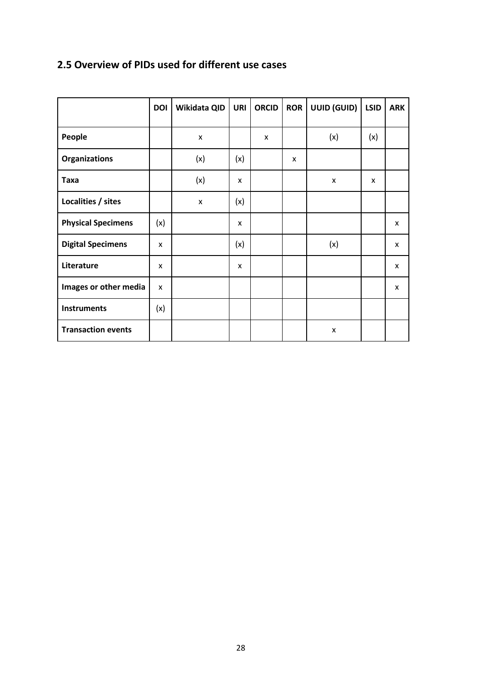# <span id="page-29-0"></span>**2.5 Overview of PIDs used for different use cases**

|                           | <b>DOI</b> | Wikidata QID | <b>URI</b> | <b>ORCID</b> | <b>ROR</b> | UUID (GUID) | <b>LSID</b> | <b>ARK</b> |
|---------------------------|------------|--------------|------------|--------------|------------|-------------|-------------|------------|
| People                    |            | X            |            | X            |            | (x)         | (x)         |            |
| <b>Organizations</b>      |            | (x)          | (x)        |              | X          |             |             |            |
| <b>Taxa</b>               |            | (x)          | X          |              |            | X           | X           |            |
| Localities / sites        |            | X            | (x)        |              |            |             |             |            |
| <b>Physical Specimens</b> | (x)        |              | X          |              |            |             |             | X          |
| <b>Digital Specimens</b>  | X          |              | (x)        |              |            | (x)         |             | X          |
| Literature                | x          |              | X          |              |            |             |             | X          |
| Images or other media     | X          |              |            |              |            |             |             | X          |
| <b>Instruments</b>        | (x)        |              |            |              |            |             |             |            |
| <b>Transaction events</b> |            |              |            |              |            | X           |             |            |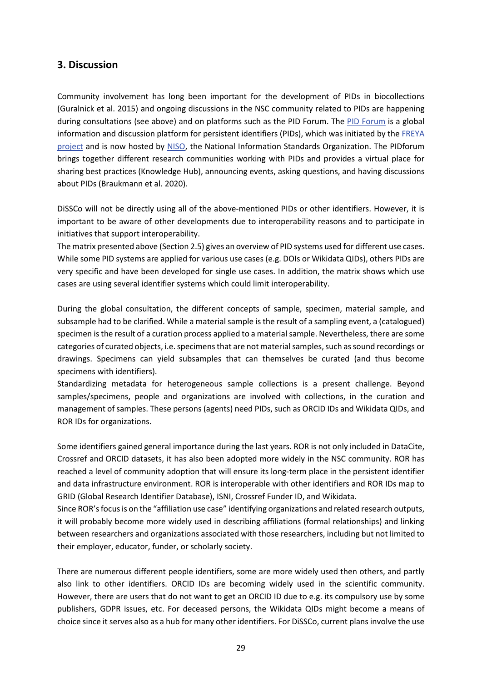## <span id="page-30-0"></span>**3. Discussion**

Community involvement has long been important for the development of PIDs in biocollections (Guralnick et al. 2015) and ongoing discussions in the NSC community related to PIDs are happening during consultations (see above) and on platforms such as the PID Forum. The [PID Forum](https://pidforum.org/) is a global information and discussion platform for persistent identifiers (PIDs), which was initiated by the [FREYA](https://www.project-freya.eu/)  [project](https://www.project-freya.eu/) and is now hosted by [NISO,](http://www.niso.org/) the National Information Standards Organization. The PIDforum brings together different research communities working with PIDs and provides a virtual place for sharing best practices (Knowledge Hub), announcing events, asking questions, and having discussions about PIDs (Braukmann et al. 2020).

DiSSCo will not be directly using all of the above-mentioned PIDs or other identifiers. However, it is important to be aware of other developments due to interoperability reasons and to participate in initiatives that support interoperability.

The matrix presented above (Section 2.5) gives an overview of PID systems used for different use cases. While some PID systems are applied for various use cases (e.g. DOIs or Wikidata QIDs), others PIDs are very specific and have been developed for single use cases. In addition, the matrix shows which use cases are using several identifier systems which could limit interoperability.

During the global consultation, the different concepts of sample, specimen, material sample, and subsample had to be clarified. While a material sample is the result of a sampling event, a (catalogued) specimen is the result of a curation process applied to a material sample. Nevertheless, there are some categories of curated objects, i.e. specimens that are not material samples, such as sound recordings or drawings. Specimens can yield subsamples that can themselves be curated (and thus become specimens with identifiers).

Standardizing metadata for heterogeneous sample collections is a present challenge. Beyond samples/specimens, people and organizations are involved with collections, in the curation and management of samples. These persons (agents) need PIDs, such as ORCID IDs and Wikidata QIDs, and ROR IDs for organizations.

Some identifiers gained general importance during the last years. ROR is not only included in DataCite, Crossref and ORCID datasets, it has also been adopted more widely in the NSC community. ROR has reached a level of community adoption that will ensure its long-term place in the persistent identifier and data infrastructure environment. ROR is interoperable with other identifiers and ROR IDs map to GRID (Global Research Identifier Database), ISNI, Crossref Funder ID, and Wikidata.

Since ROR's focus is on the "affiliation use case" identifying organizations and related research outputs, it will probably become more widely used in describing affiliations (formal relationships) and linking between researchers and organizations associated with those researchers, including but not limited to their employer, educator, funder, or scholarly society.

There are numerous different people identifiers, some are more widely used then others, and partly also link to other identifiers. ORCID IDs are becoming widely used in the scientific community. However, there are users that do not want to get an ORCID ID due to e.g. its compulsory use by some publishers, GDPR issues, etc. For deceased persons, the Wikidata QIDs might become a means of choice since it serves also as a hub for many other identifiers. For DiSSCo, current plans involve the use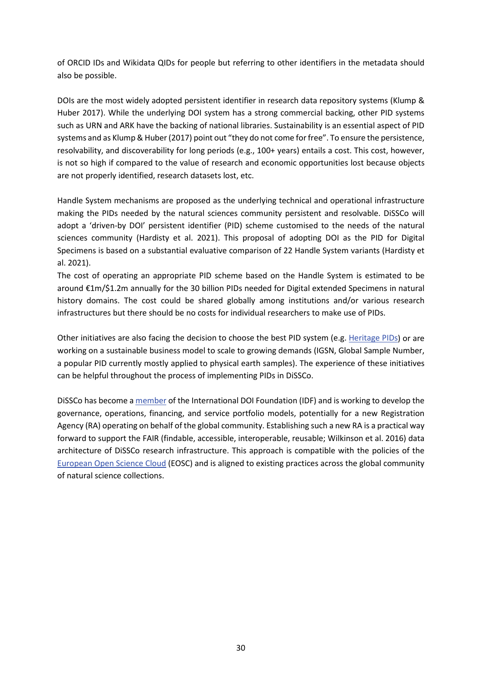of ORCID IDs and Wikidata QIDs for people but referring to other identifiers in the metadata should also be possible.

DOIs are the most widely adopted persistent identifier in research data repository systems (Klump & Huber 2017). While the underlying DOI system has a strong commercial backing, other PID systems such as URN and ARK have the backing of national libraries. Sustainability is an essential aspect of PID systems and as Klump & Huber (2017) point out "they do not come for free". To ensure the persistence, resolvability, and discoverability for long periods (e.g., 100+ years) entails a cost. This cost, however, is not so high if compared to the value of research and economic opportunities lost because objects are not properly identified, research datasets lost, etc.

Handle System mechanisms are proposed as the underlying technical and operational infrastructure making the PIDs needed by the natural sciences community persistent and resolvable. DiSSCo will adopt a 'driven-by DOI' persistent identifier (PID) scheme customised to the needs of the natural sciences community (Hardisty et al. 2021). This proposal of adopting DOI as the PID for Digital Specimens is based on a substantial evaluative comparison of 22 Handle System variants (Hardisty et al. 2021).

The cost of operating an appropriate PID scheme based on the Handle System is estimated to be around €1m/\$1.2m annually for the 30 billion PIDs needed for Digital extended Specimens in natural history domains. The cost could be shared globally among institutions and/or various research infrastructures but there should be no costs for individual researchers to make use of PIDs.

Other initiatives are also facing the decision to choose the best PID system (e.g. [Heritage PIDs\)](https://tanc-ahrc.github.io/HeritagePIDs/) or are working on a sustainable business model to scale to growing demands (IGSN, Global Sample Number, a popular PID currently mostly applied to physical earth samples). The experience of these initiatives can be helpful throughout the process of implementing PIDs in DiSSCo.

DiSSCo has become [a member](https://www.doi.org/idf-member-list.html) of the International DOI Foundation (IDF) and is working to develop the governance, operations, financing, and service portfolio models, potentially for a new Registration Agency (RA) operating on behalf of the global community. Establishing such a new RA is a practical way forward to support the FAIR (findable, accessible, interoperable, reusable; Wilkinson et al. 2016) data architecture of DiSSCo research infrastructure. This approach is compatible with the policies of the [European Open Science Cloud](https://eosc-portal.eu/about/eosc) (EOSC) and is aligned to existing practices across the global community of natural science collections.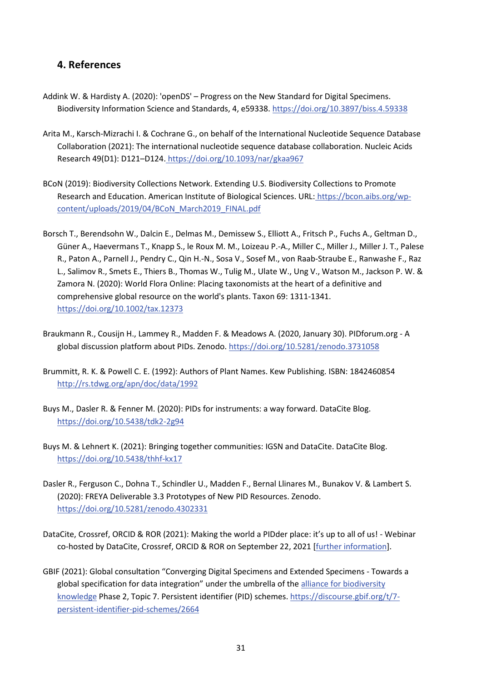## <span id="page-32-0"></span>**4. References**

- Addink W. & Hardisty A. (2020): 'openDS' Progress on the New Standard for Digital Specimens. Biodiversity Information Science and Standards, 4, e59338[. https://doi.org/10.3897/biss.4.59338](https://doi.org/10.3897/biss.4.59338)
- Arita M., Karsch-Mizrachi I. & Cochrane G., on behalf of the International Nucleotide Sequence Database Collaboration (2021): The international nucleotide sequence database collaboration. Nucleic Acids Research 49(D1): D121–D124. <https://doi.org/10.1093/nar/gkaa967>
- BCoN (2019): Biodiversity Collections Network. Extending U.S. Biodiversity Collections to Promote Research and Education. American Institute of Biological Sciences. URL: [https://bcon.aibs.org/wp](https://bcon.aibs.org/wp-content/uploads/2019/04/BCoN_March2019_FINAL.pdf)[content/uploads/2019/04/BCoN\\_March2019\\_FINAL.pdf](https://bcon.aibs.org/wp-content/uploads/2019/04/BCoN_March2019_FINAL.pdf)
- Borsch T., Berendsohn W., Dalcin E., Delmas M., Demissew S., Elliott A., Fritsch P., Fuchs A., Geltman D., Güner A., Haevermans T., Knapp S., le Roux M. M., Loizeau P.-A., Miller C., Miller J., Miller J. T., Palese R., Paton A., Parnell J., Pendry C., Qin H.-N., Sosa V., Sosef M., von Raab-Straube E., Ranwashe F., Raz L., Salimov R., Smets E., Thiers B., Thomas W., Tulig M., Ulate W., Ung V., Watson M., Jackson P. W. & Zamora N. (2020): World Flora Online: Placing taxonomists at the heart of a definitive and comprehensive global resource on the world's plants. Taxon 69: 1311-1341[.](https://doi.org/10.1002/tax.12373) <https://doi.org/10.1002/tax.12373>
- Braukmann R., Cousijn H., Lammey R., Madden F. & Meadows A. (2020, January 30). PIDforum.org A global discussion platform about PIDs. Zenodo.<https://doi.org/10.5281/zenodo.3731058>
- Brummitt, R. K. & Powell C. E. (1992): Authors of Plant Names. Kew Publishing. ISBN: 1842460854 <http://rs.tdwg.org/apn/doc/data/1992>
- Buys M., Dasler R. & Fenner M. (2020): PIDs for instruments: a way forward. DataCite Blog. <https://doi.org/10.5438/tdk2-2g94>
- Buys M. & Lehnert K. (2021): Bringing together communities: IGSN and DataCite. DataCite Blog. <https://doi.org/10.5438/thhf-kx17>
- Dasler R., Ferguson C., Dohna T., Schindler U., Madden F., Bernal Llinares M., Bunakov V. & Lambert S. (2020): FREYA Deliverable 3.3 Prototypes of New PID Resources. Zenodo. <https://doi.org/10.5281/zenodo.4302331>
- DataCite, Crossref, ORCID & ROR (2021): Making the world a PIDder place: it's up to all of us! Webinar co-hosted by DataCite, Crossref, ORCID & ROR on September 22, 2021 [\[further information\]](https://datacite.zoom.us/webinar/register/WN_fXrn4czCSn-lsSBjcpymUg).
- GBIF (2021): Global consultation "Converging Digital Specimens and Extended Specimens Towards a global specification for data integration" under the umbrella of the [alliance for biodiversity](https://www.allianceforbio.org/)  [knowledge](https://www.allianceforbio.org/) Phase 2, Topic 7. Persistent identifier (PID) schemes[. https://discourse.gbif.org/t/7](https://discourse.gbif.org/t/7-persistent-identifier-pid-schemes/2664) [persistent-identifier-pid-schemes/2664](https://discourse.gbif.org/t/7-persistent-identifier-pid-schemes/2664)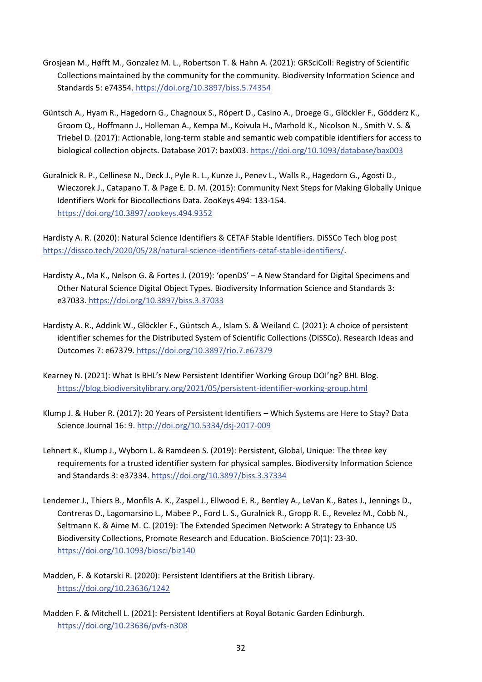- Grosjean M., Høfft M., Gonzalez M. L., Robertson T. & Hahn A. (2021): GRSciColl: Registry of Scientific Collections maintained by the community for the community. Biodiversity Information Science and Standards 5: e74354. <https://doi.org/10.3897/biss.5.74354>
- Güntsch A., Hyam R., Hagedorn G., Chagnoux S., Röpert D., Casino A., Droege G., Glöckler F., Gödderz K., Groom Q., Hoffmann J., Holleman A., Kempa M., Koivula H., Marhold K., Nicolson N., Smith V. S. & Triebel D. (2017): Actionable, long-term stable and semantic web compatible identifiers for access to biological collection objects. Database 2017: bax003.<https://doi.org/10.1093/database/bax003>
- Guralnick R. P., Cellinese N., Deck J., Pyle R. L., Kunze J., Penev L., Walls R., Hagedorn G., Agosti D., Wieczorek J., Catapano T. & Page E. D. M. (2015): Community Next Steps for Making Globally Unique Identifiers Work for Biocollections Data. ZooKeys 494: 133-154[.](https://doi.org/10.3897/zookeys.494.9352) <https://doi.org/10.3897/zookeys.494.9352>

Hardisty A. R. (2020): Natural Science Identifiers & CETAF Stable Identifiers. DiSSCo Tech blog post [https://dissco.tech/2020/05/28/natural-science-identifiers-cetaf-stable-identifiers/.](https://dissco.tech/2020/05/28/natural-science-identifiers-cetaf-stable-identifiers/)

- Hardisty A., Ma K., Nelson G. & Fortes J. (2019): 'openDS' A New Standard for Digital Specimens and Other Natural Science Digital Object Types. Biodiversity Information Science and Standards 3: e37033. <https://doi.org/10.3897/biss.3.37033>
- Hardisty A. R., Addink W., Glöckler F., Güntsch A., Islam S. & Weiland C. (2021): A choice of persistent identifier schemes for the Distributed System of Scientific Collections (DiSSCo). Research Ideas and Outcomes 7: e67379. <https://doi.org/10.3897/rio.7.e67379>
- Kearney N. (2021): What Is BHL's New Persistent Identifier Working Group DOI'ng? BHL Blog. <https://blog.biodiversitylibrary.org/2021/05/persistent-identifier-working-group.html>
- Klump J. & Huber R. (2017): 20 Years of Persistent Identifiers Which Systems are Here to Stay? Data Science Journal 16: 9.<http://doi.org/10.5334/dsj-2017-009>
- Lehnert K., Klump J., Wyborn L. & Ramdeen S. (2019): Persistent, Global, Unique: The three key requirements for a trusted identifier system for physical samples. Biodiversity Information Science and Standards 3: e37334. <https://doi.org/10.3897/biss.3.37334>
- Lendemer J., Thiers B., Monfils A. K., Zaspel J., Ellwood E. R., Bentley A., LeVan K., Bates J., Jennings D., Contreras D., Lagomarsino L., Mabee P., Ford L. S., Guralnick R., Gropp R. E., Revelez M., Cobb N., Seltmann K. & Aime M. C. (2019): The Extended Specimen Network: A Strategy to Enhance US Biodiversity Collections, Promote Research and Education. BioScience 70(1): 23-30. <https://doi.org/10.1093/biosci/biz140>
- Madden, F. & Kotarski R. (2020): Persistent Identifiers at the British Library. <https://doi.org/10.23636/1242>
- Madden F. & Mitchell L. (2021): Persistent Identifiers at Royal Botanic Garden Edinburgh. <https://doi.org/10.23636/pvfs-n308>